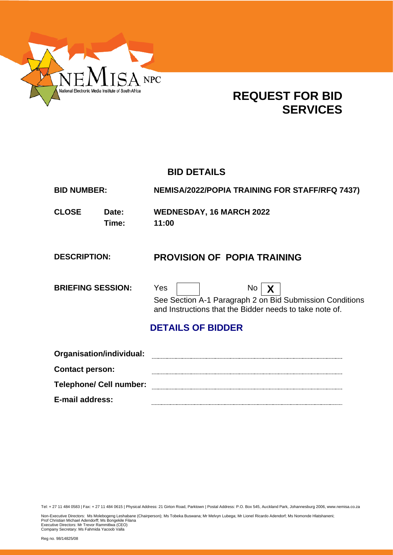

# **REQUEST FOR BID SERVICES**

# **BID DETAILS**

| <b>BID NUMBER:</b>       |                          | <b>NEMISA/2022/POPIA TRAINING FOR STAFF/RFQ 7437)</b>                                                                                                |
|--------------------------|--------------------------|------------------------------------------------------------------------------------------------------------------------------------------------------|
| <b>CLOSE</b>             | Date:<br>Time:           | <b>WEDNESDAY, 16 MARCH 2022</b><br>11:00                                                                                                             |
| <b>DESCRIPTION:</b>      |                          | <b>PROVISION OF POPIA TRAINING</b>                                                                                                                   |
| <b>BRIEFING SESSION:</b> |                          | Yes<br>No<br>$\boldsymbol{X}$<br>See Section A-1 Paragraph 2 on Bid Submission Conditions<br>and Instructions that the Bidder needs to take note of. |
|                          |                          | <b>DETAILS OF BIDDER</b>                                                                                                                             |
|                          | Organisation/individual: |                                                                                                                                                      |

**Contact person: Telephone/ Cell number: E-mail address:**

Tel: + 27 11 484 0583 | Fax: + 27 11 484 0615 | Physical Address: 21 Girton Road, Parktown | Postal Address: P.O. Box 545, Auckland Park, Johannesburg 2006, www.nemisa.co.za

Non-Executive Directors: Ms Molebogeng Leshabane (Chairperson); Ms Tobeka Buswana; Mr Melvyn Lubega; Mr Lionel Ricardo Adendorf; Ms Nomonde Hlatshaneni;<br>Prof Christian Michael Adendorff; Ms Bongekile Filana<br>Executive Dire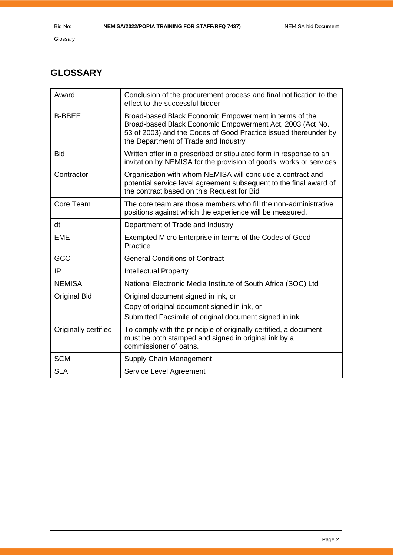# **GLOSSARY**

| Award                | Conclusion of the procurement process and final notification to the<br>effect to the successful bidder                                                                                                                         |
|----------------------|--------------------------------------------------------------------------------------------------------------------------------------------------------------------------------------------------------------------------------|
| <b>B-BBEE</b>        | Broad-based Black Economic Empowerment in terms of the<br>Broad-based Black Economic Empowerment Act, 2003 (Act No.<br>53 of 2003) and the Codes of Good Practice issued thereunder by<br>the Department of Trade and Industry |
| <b>Bid</b>           | Written offer in a prescribed or stipulated form in response to an<br>invitation by NEMISA for the provision of goods, works or services                                                                                       |
| Contractor           | Organisation with whom NEMISA will conclude a contract and<br>potential service level agreement subsequent to the final award of<br>the contract based on this Request for Bid                                                 |
| Core Team            | The core team are those members who fill the non-administrative<br>positions against which the experience will be measured.                                                                                                    |
| dti                  | Department of Trade and Industry                                                                                                                                                                                               |
| <b>EME</b>           | Exempted Micro Enterprise in terms of the Codes of Good<br>Practice                                                                                                                                                            |
| GCC                  | <b>General Conditions of Contract</b>                                                                                                                                                                                          |
| IP                   | <b>Intellectual Property</b>                                                                                                                                                                                                   |
| <b>NEMISA</b>        | National Electronic Media Institute of South Africa (SOC) Ltd                                                                                                                                                                  |
| <b>Original Bid</b>  | Original document signed in ink, or<br>Copy of original document signed in ink, or<br>Submitted Facsimile of original document signed in ink                                                                                   |
| Originally certified | To comply with the principle of originally certified, a document<br>must be both stamped and signed in original ink by a<br>commissioner of oaths.                                                                             |
| <b>SCM</b>           | Supply Chain Management                                                                                                                                                                                                        |
| <b>SLA</b>           | Service Level Agreement                                                                                                                                                                                                        |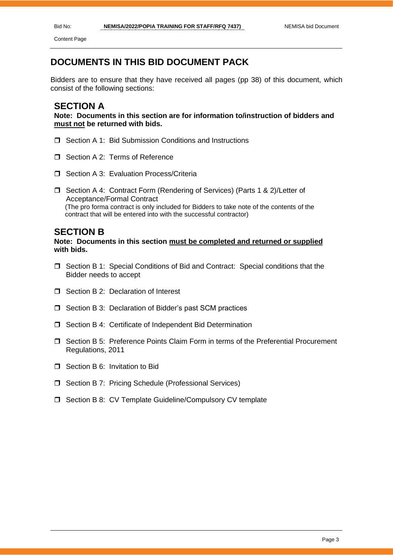Content Page

# **DOCUMENTS IN THIS BID DOCUMENT PACK**

Bidders are to ensure that they have received all pages (pp 38) of this document, which consist of the following sections:

# **SECTION A**

**Note: Documents in this section are for information to/instruction of bidders and must not be returned with bids.**

- □ Section A 1: Bid Submission Conditions and Instructions
- Section A 2: Terms of Reference
- □ Section A 3: Evaluation Process/Criteria
- □ Section A 4: Contract Form (Rendering of Services) (Parts 1 & 2)/Letter of Acceptance/Formal Contract (The pro forma contract is only included for Bidders to take note of the contents of the contract that will be entered into with the successful contractor)

# **SECTION B**

# **Note: Documents in this section must be completed and returned or supplied with bids.**

- $\Box$  Section B 1: Special Conditions of Bid and Contract: Special conditions that the Bidder needs to accept
- $\Box$  Section B 2: Declaration of Interest
- □ Section B 3: Declaration of Bidder's past SCM practices
- □ Section B 4: Certificate of Independent Bid Determination
- Section B 5: Preference Points Claim Form in terms of the Preferential Procurement Regulations, 2011
- □ Section B 6: Invitation to Bid
- □ Section B 7: Pricing Schedule (Professional Services)
- □ Section B 8: CV Template Guideline/Compulsory CV template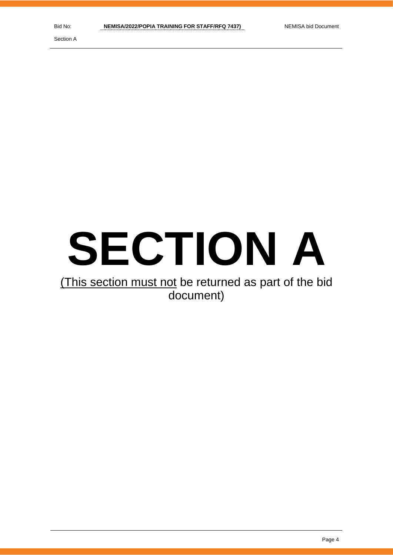Section A

# **SECTION A**

# (This section must not be returned as part of the bid document)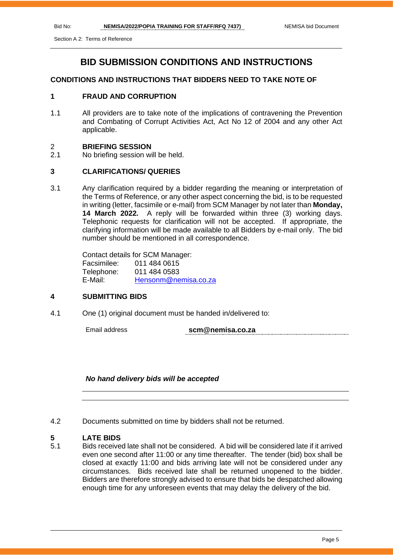# **BID SUBMISSION CONDITIONS AND INSTRUCTIONS**

# **CONDITIONS AND INSTRUCTIONS THAT BIDDERS NEED TO TAKE NOTE OF**

# **1 FRAUD AND CORRUPTION**

1.1 All providers are to take note of the implications of contravening the Prevention and Combating of Corrupt Activities Act, Act No 12 of 2004 and any other Act applicable.

### 2 **BRIEFING SESSION**

2.1 No briefing session will be held.

# **3 CLARIFICATIONS/ QUERIES**

3.1 Any clarification required by a bidder regarding the meaning or interpretation of the Terms of Reference, or any other aspect concerning the bid, is to be requested in writing (letter, facsimile or e-mail) from SCM Manager by not later than **Monday, 14 March 2022.** A reply will be forwarded within three (3) working days. Telephonic requests for clarification will not be accepted. If appropriate, the clarifying information will be made available to all Bidders by e-mail only. The bid number should be mentioned in all correspondence.

> Contact details for SCM Manager: Facsimilee: 011 484 0615 Telephone: 011 484 0583 E-Mail: [Hensonm@nemisa.co.za](mailto:Hensonm@nemisa.co.za)

### **4 SUBMITTING BIDS**

4.1 One (1) original document must be handed in/delivered to:

Email address **scm@nemisa.co.za**

### *No hand delivery bids will be accepted*

4.2 Documents submitted on time by bidders shall not be returned.

# **5 LATE BIDS**

5.1 Bids received late shall not be considered. A bid will be considered late if it arrived even one second after 11:00 or any time thereafter. The tender (bid) box shall be closed at exactly 11:00 and bids arriving late will not be considered under any circumstances. Bids received late shall be returned unopened to the bidder. Bidders are therefore strongly advised to ensure that bids be despatched allowing enough time for any unforeseen events that may delay the delivery of the bid.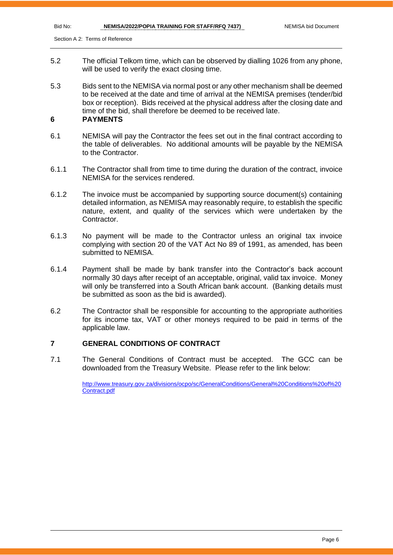- 5.2 The official Telkom time, which can be observed by dialling 1026 from any phone, will be used to verify the exact closing time.
- 5.3 Bids sent to the NEMISA via normal post or any other mechanism shall be deemed to be received at the date and time of arrival at the NEMISA premises (tender/bid box or reception). Bids received at the physical address after the closing date and time of the bid, shall therefore be deemed to be received late.

# **6 PAYMENTS**

- 6.1 NEMISA will pay the Contractor the fees set out in the final contract according to the table of deliverables. No additional amounts will be payable by the NEMISA to the Contractor.
- 6.1.1 The Contractor shall from time to time during the duration of the contract, invoice NEMISA for the services rendered.
- 6.1.2 The invoice must be accompanied by supporting source document(s) containing detailed information, as NEMISA may reasonably require, to establish the specific nature, extent, and quality of the services which were undertaken by the Contractor.
- 6.1.3 No payment will be made to the Contractor unless an original tax invoice complying with section 20 of the VAT Act No 89 of 1991, as amended, has been submitted to NEMISA.
- 6.1.4 Payment shall be made by bank transfer into the Contractor's back account normally 30 days after receipt of an acceptable, original, valid tax invoice. Money will only be transferred into a South African bank account. (Banking details must be submitted as soon as the bid is awarded).
- 6.2 The Contractor shall be responsible for accounting to the appropriate authorities for its income tax, VAT or other moneys required to be paid in terms of the applicable law.

# **7 GENERAL CONDITIONS OF CONTRACT**

7.1 The General Conditions of Contract must be accepted. The GCC can be downloaded from the Treasury Website. Please refer to the link below:

> [http://www.treasury.gov.za/divisions/ocpo/sc/GeneralConditions/General%20Conditions%20of%20](http://www.treasury.gov.za/divisions/ocpo/sc/GeneralConditions/General%20Conditions%20of%20Contract.pdf) [Contract.pdf](http://www.treasury.gov.za/divisions/ocpo/sc/GeneralConditions/General%20Conditions%20of%20Contract.pdf)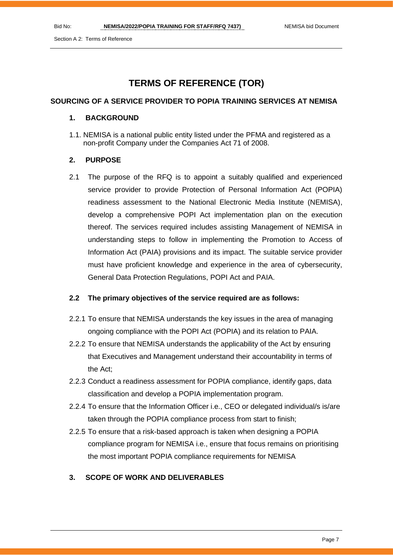# **TERMS OF REFERENCE (TOR)**

# **SOURCING OF A SERVICE PROVIDER TO POPIA TRAINING SERVICES AT NEMISA**

# **1. BACKGROUND**

1.1. NEMISA is a national public entity listed under the PFMA and registered as a non-profit Company under the Companies Act 71 of 2008.

# **2. PURPOSE**

2.1 The purpose of the RFQ is to appoint a suitably qualified and experienced service provider to provide Protection of Personal Information Act (POPIA) readiness assessment to the National Electronic Media Institute (NEMISA), develop a comprehensive POPI Act implementation plan on the execution thereof. The services required includes assisting Management of NEMISA in understanding steps to follow in implementing the Promotion to Access of Information Act (PAIA) provisions and its impact. The suitable service provider must have proficient knowledge and experience in the area of cybersecurity, General Data Protection Regulations, POPI Act and PAIA.

# **2.2 The primary objectives of the service required are as follows:**

- 2.2.1 To ensure that NEMISA understands the key issues in the area of managing ongoing compliance with the POPI Act (POPIA) and its relation to PAIA.
- 2.2.2 To ensure that NEMISA understands the applicability of the Act by ensuring that Executives and Management understand their accountability in terms of the Act;
- 2.2.3 Conduct a readiness assessment for POPIA compliance, identify gaps, data classification and develop a POPIA implementation program.
- 2.2.4 To ensure that the Information Officer i.e., CEO or delegated individual/s is/are taken through the POPIA compliance process from start to finish;
- 2.2.5 To ensure that a risk-based approach is taken when designing a POPIA compliance program for NEMISA i.e., ensure that focus remains on prioritising the most important POPIA compliance requirements for NEMISA

# **3. SCOPE OF WORK AND DELIVERABLES**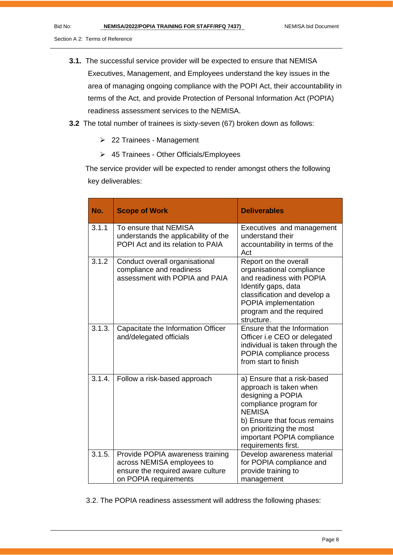- **3.1.** The successful service provider will be expected to ensure that NEMISA Executives, Management, and Employees understand the key issues in the area of managing ongoing compliance with the POPI Act, their accountability in terms of the Act, and provide Protection of Personal Information Act (POPIA) readiness assessment services to the NEMISA.
- **3.2** The total number of trainees is sixty-seven (67) broken down as follows:
	- ➢ 22 Trainees Management
	- ➢ 45 Trainees Other Officials/Employees

 The service provider will be expected to render amongst others the following key deliverables:

| No.    | <b>Scope of Work</b>                                                                                                         | <b>Deliverables</b>                                                                                                                                                                                                                    |
|--------|------------------------------------------------------------------------------------------------------------------------------|----------------------------------------------------------------------------------------------------------------------------------------------------------------------------------------------------------------------------------------|
| 3.1.1  | To ensure that NEMISA<br>understands the applicability of the<br>POPI Act and its relation to PAIA                           | Executives and management<br>understand their<br>accountability in terms of the<br>Act                                                                                                                                                 |
| 3.1.2  | Conduct overall organisational<br>compliance and readiness<br>assessment with POPIA and PAIA                                 | Report on the overall<br>organisational compliance<br>and readiness with POPIA<br>Identify gaps, data<br>classification and develop a<br>POPIA implementation<br>program and the required<br>structure.                                |
| 3.1.3. | Capacitate the Information Officer<br>and/delegated officials                                                                | Ensure that the Information<br>Officer i.e CEO or delegated<br>individual is taken through the<br>POPIA compliance process<br>from start to finish                                                                                     |
| 3.1.4. | Follow a risk-based approach                                                                                                 | a) Ensure that a risk-based<br>approach is taken when<br>designing a POPIA<br>compliance program for<br><b>NEMISA</b><br>b) Ensure that focus remains<br>on prioritizing the most<br>important POPIA compliance<br>requirements first. |
| 3.1.5. | Provide POPIA awareness training<br>across NEMISA employees to<br>ensure the required aware culture<br>on POPIA requirements | Develop awareness material<br>for POPIA compliance and<br>provide training to<br>management                                                                                                                                            |

3.2. The POPIA readiness assessment will address the following phases: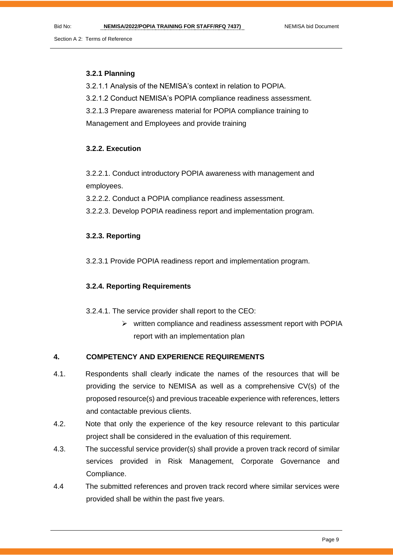# **3.2.1 Planning**

3.2.1.1 Analysis of the NEMISA's context in relation to POPIA.

3.2.1.2 Conduct NEMISA's POPIA compliance readiness assessment.

3.2.1.3 Prepare awareness material for POPIA compliance training to

Management and Employees and provide training

# **3.2.2. Execution**

3.2.2.1. Conduct introductory POPIA awareness with management and employees.

3.2.2.2. Conduct a POPIA compliance readiness assessment.

3.2.2.3. Develop POPIA readiness report and implementation program.

# **3.2.3. Reporting**

3.2.3.1 Provide POPIA readiness report and implementation program.

# **3.2.4. Reporting Requirements**

3.2.4.1. The service provider shall report to the CEO:

➢ written compliance and readiness assessment report with POPIA report with an implementation plan

# **4. COMPETENCY AND EXPERIENCE REQUIREMENTS**

- 4.1. Respondents shall clearly indicate the names of the resources that will be providing the service to NEMISA as well as a comprehensive CV(s) of the proposed resource(s) and previous traceable experience with references, letters and contactable previous clients.
- 4.2. Note that only the experience of the key resource relevant to this particular project shall be considered in the evaluation of this requirement.
- 4.3. The successful service provider(s) shall provide a proven track record of similar services provided in Risk Management, Corporate Governance and Compliance.
- 4.4 The submitted references and proven track record where similar services were provided shall be within the past five years.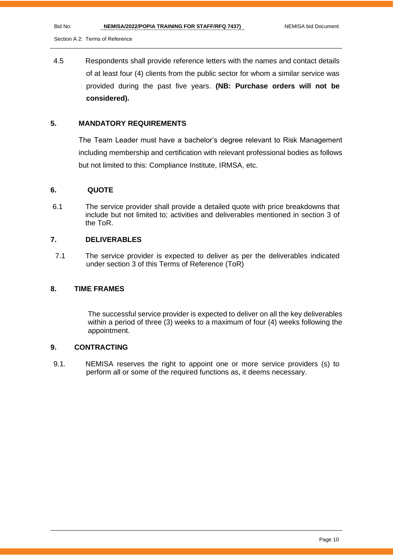4.5 Respondents shall provide reference letters with the names and contact details of at least four (4) clients from the public sector for whom a similar service was provided during the past five years. **(NB: Purchase orders will not be considered).**

# **5. MANDATORY REQUIREMENTS**

The Team Leader must have a bachelor's degree relevant to Risk Management including membership and certification with relevant professional bodies as follows but not limited to this: Compliance Institute, IRMSA, etc.

### **6. QUOTE**

6.1 The service provider shall provide a detailed quote with price breakdowns that include but not limited to; activities and deliverables mentioned in section 3 of the ToR.

### **7. DELIVERABLES**

7.1 The service provider is expected to deliver as per the deliverables indicated under section 3 of this Terms of Reference (ToR)

# **8. TIME FRAMES**

The successful service provider is expected to deliver on all the key deliverables within a period of three (3) weeks to a maximum of four (4) weeks following the appointment.

# **9. CONTRACTING**

9.1. NEMISA reserves the right to appoint one or more service providers (s) to perform all or some of the required functions as, it deems necessary.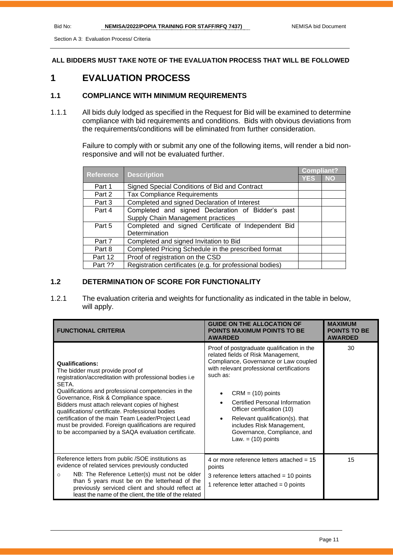Section A 3: Evaluation Process/ Criteria

**ALL BIDDERS MUST TAKE NOTE OF THE EVALUATION PROCESS THAT WILL BE FOLLOWED**

# **1 EVALUATION PROCESS**

# **1.1 COMPLIANCE WITH MINIMUM REQUIREMENTS**

1.1.1 All bids duly lodged as specified in the Request for Bid will be examined to determine compliance with bid requirements and conditions. Bids with obvious deviations from the requirements/conditions will be eliminated from further consideration.

> Failure to comply with or submit any one of the following items, will render a bid nonresponsive and will not be evaluated further.

| <b>Reference</b> | <b>Description</b>                                       | <b>Compliant?</b> |           |
|------------------|----------------------------------------------------------|-------------------|-----------|
|                  |                                                          | <b>YES</b>        | <b>NO</b> |
| Part 1           | Signed Special Conditions of Bid and Contract            |                   |           |
| Part 2           | <b>Tax Compliance Requirements</b>                       |                   |           |
| Part 3           | Completed and signed Declaration of Interest             |                   |           |
| Part 4           | Completed and signed Declaration of Bidder's past        |                   |           |
|                  | Supply Chain Management practices                        |                   |           |
| Part 5           | Completed and signed Certificate of Independent Bid      |                   |           |
|                  | Determination                                            |                   |           |
| Part 7           | Completed and signed Invitation to Bid                   |                   |           |
| Part 8           | Completed Pricing Schedule in the prescribed format      |                   |           |
| Part 12          | Proof of registration on the CSD                         |                   |           |
| Part ??          | Registration certificates (e.g. for professional bodies) |                   |           |

# **1.2 DETERMINATION OF SCORE FOR FUNCTIONALITY**

1.2.1 The evaluation criteria and weights for functionality as indicated in the table in below, will apply.

| <b>FUNCTIONAL CRITERIA</b>                                                                                                                                                                                                                                                                                                                                                                                                                                                                                | <b>GUIDE ON THE ALLOCATION OF</b><br><b>POINTS MAXIMUM POINTS TO BE</b><br><b>AWARDED</b>                                                                                                                                                                                                                                                                                                                                         | <b>MAXIMUM</b><br><b>POINTS TO BE</b><br><b>AWARDED</b> |
|-----------------------------------------------------------------------------------------------------------------------------------------------------------------------------------------------------------------------------------------------------------------------------------------------------------------------------------------------------------------------------------------------------------------------------------------------------------------------------------------------------------|-----------------------------------------------------------------------------------------------------------------------------------------------------------------------------------------------------------------------------------------------------------------------------------------------------------------------------------------------------------------------------------------------------------------------------------|---------------------------------------------------------|
| <b>Qualifications:</b><br>The bidder must provide proof of<br>registration/accreditation with professional bodies i.e<br>SETA.<br>Qualifications and professional competencies in the<br>Governance, Risk & Compliance space.<br>Bidders must attach relevant copies of highest<br>qualifications/ certificate. Professional bodies<br>certification of the main Team Leader/Project Lead<br>must be provided. Foreign qualifications are required<br>to be accompanied by a SAQA evaluation certificate. | Proof of postgraduate qualification in the<br>related fields of Risk Management,<br>Compliance, Governance or Law coupled<br>with relevant professional certifications<br>such as:<br>$CRM = (10)$ points<br>$\bullet$<br><b>Certified Personal Information</b><br>Officer certification (10)<br>Relevant qualification(s). that<br>$\bullet$<br>includes Risk Management,<br>Governance, Compliance, and<br>Law. $=$ (10) points | 30                                                      |
| Reference letters from public /SOE institutions as<br>evidence of related services previously conducted<br>NB: The Reference Letter(s) must not be older<br>$\circ$<br>than 5 years must be on the letterhead of the<br>previously serviced client and should reflect at<br>least the name of the client, the title of the related                                                                                                                                                                        | 4 or more reference letters attached = $15$<br>points<br>3 reference letters attached = $10$ points<br>1 reference letter attached $= 0$ points                                                                                                                                                                                                                                                                                   | 15                                                      |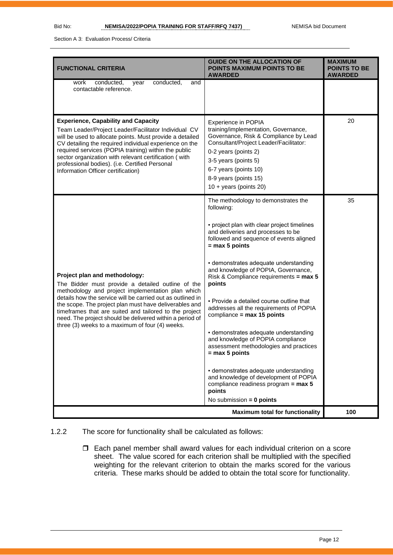Section A 3: Evaluation Process/ Criteria

| <b>FUNCTIONAL CRITERIA</b>                                                                                                                                                                                                                                                                                                                                                                                                               | <b>GUIDE ON THE ALLOCATION OF</b><br><b>POINTS MAXIMUM POINTS TO BE</b><br><b>AWARDED</b>                                                                                                                                                                                                                                                                                                                                                                                                                                                                                                                                                                                                                                                                                        | <b>MAXIMUM</b><br><b>POINTS TO BE</b><br><b>AWARDED</b> |
|------------------------------------------------------------------------------------------------------------------------------------------------------------------------------------------------------------------------------------------------------------------------------------------------------------------------------------------------------------------------------------------------------------------------------------------|----------------------------------------------------------------------------------------------------------------------------------------------------------------------------------------------------------------------------------------------------------------------------------------------------------------------------------------------------------------------------------------------------------------------------------------------------------------------------------------------------------------------------------------------------------------------------------------------------------------------------------------------------------------------------------------------------------------------------------------------------------------------------------|---------------------------------------------------------|
| conducted,<br>work<br>year<br>conducted,<br>and<br>contactable reference.                                                                                                                                                                                                                                                                                                                                                                |                                                                                                                                                                                                                                                                                                                                                                                                                                                                                                                                                                                                                                                                                                                                                                                  |                                                         |
| <b>Experience, Capability and Capacity</b><br>Team Leader/Project Leader/Facilitator Individual CV<br>will be used to allocate points. Must provide a detailed<br>CV detailing the required individual experience on the<br>required services (POPIA training) within the public<br>sector organization with relevant certification (with<br>professional bodies). (i.e. Certified Personal<br>Information Officer certification)        | Experience in POPIA<br>training/implementation, Governance,<br>Governance, Risk & Compliance by Lead<br>Consultant/Project Leader/Facilitator:<br>0-2 years (points 2)<br>3-5 years (points 5)<br>6-7 years (points 10)<br>8-9 years (points 15)<br>$10 + \text{years}$ (points 20)                                                                                                                                                                                                                                                                                                                                                                                                                                                                                              | 20                                                      |
| Project plan and methodology:<br>The Bidder must provide a detailed outline of the<br>methodology and project implementation plan which<br>details how the service will be carried out as outlined in<br>the scope. The project plan must have deliverables and<br>timeframes that are suited and tailored to the project<br>need. The project should be delivered within a period of<br>three (3) weeks to a maximum of four (4) weeks. | The methodology to demonstrates the<br>following:<br>• project plan with clear project timelines<br>and deliveries and processes to be<br>followed and sequence of events aligned<br>$=$ max 5 points<br>- demonstrates adequate understanding<br>and knowledge of POPIA, Governance,<br>Risk & Compliance requirements = max 5<br>points<br>. Provide a detailed course outline that<br>addresses all the requirements of POPIA<br>compliance = $max 15$ points<br>- demonstrates adequate understanding<br>and knowledge of POPIA compliance<br>assessment methodologies and practices<br>$=$ max 5 points<br>- demonstrates adequate understanding<br>and knowledge of development of POPIA<br>compliance readiness program = $max 5$<br>points<br>No submission $= 0$ points | 35                                                      |
|                                                                                                                                                                                                                                                                                                                                                                                                                                          | <b>Maximum total for functionality</b>                                                                                                                                                                                                                                                                                                                                                                                                                                                                                                                                                                                                                                                                                                                                           | 100                                                     |

# 1.2.2 The score for functionality shall be calculated as follows:

 Each panel member shall award values for each individual criterion on a score sheet. The value scored for each criterion shall be multiplied with the specified weighting for the relevant criterion to obtain the marks scored for the various criteria. These marks should be added to obtain the total score for functionality.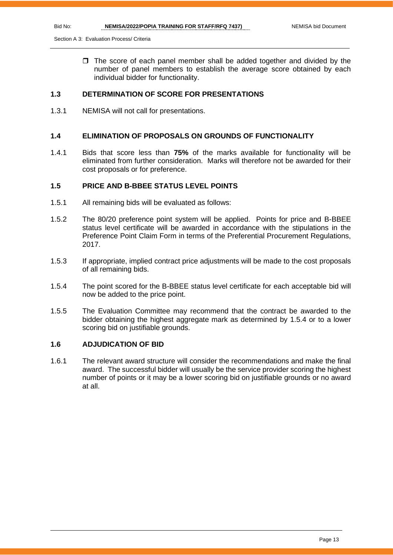Section A 3: Evaluation Process/ Criteria

 $\Box$  The score of each panel member shall be added together and divided by the number of panel members to establish the average score obtained by each individual bidder for functionality.

# **1.3 DETERMINATION OF SCORE FOR PRESENTATIONS**

1.3.1 NEMISA will not call for presentations.

### **1.4 ELIMINATION OF PROPOSALS ON GROUNDS OF FUNCTIONALITY**

1.4.1 Bids that score less than **75%** of the marks available for functionality will be eliminated from further consideration. Marks will therefore not be awarded for their cost proposals or for preference.

# **1.5 PRICE AND B-BBEE STATUS LEVEL POINTS**

- 1.5.1 All remaining bids will be evaluated as follows:
- 1.5.2 The 80/20 preference point system will be applied. Points for price and B-BBEE status level certificate will be awarded in accordance with the stipulations in the Preference Point Claim Form in terms of the Preferential Procurement Regulations, 2017.
- 1.5.3 If appropriate, implied contract price adjustments will be made to the cost proposals of all remaining bids.
- 1.5.4 The point scored for the B-BBEE status level certificate for each acceptable bid will now be added to the price point.
- 1.5.5 The Evaluation Committee may recommend that the contract be awarded to the bidder obtaining the highest aggregate mark as determined by 1.5.4 or to a lower scoring bid on justifiable grounds.

# **1.6 ADJUDICATION OF BID**

1.6.1 The relevant award structure will consider the recommendations and make the final award. The successful bidder will usually be the service provider scoring the highest number of points or it may be a lower scoring bid on justifiable grounds or no award at all.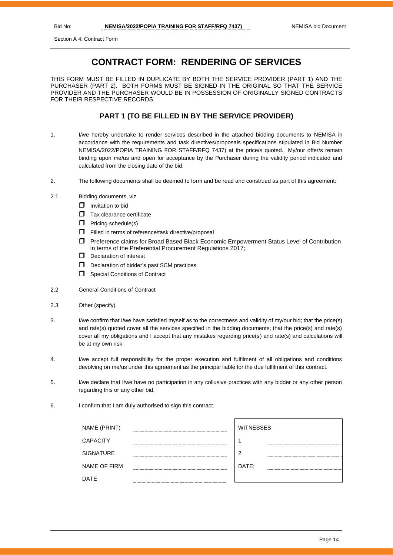Section A 4: Contract Form

# **CONTRACT FORM: RENDERING OF SERVICES**

THIS FORM MUST BE FILLED IN DUPLICATE BY BOTH THE SERVICE PROVIDER (PART 1) AND THE PURCHASER (PART 2). BOTH FORMS MUST BE SIGNED IN THE ORIGINAL SO THAT THE SERVICE PROVIDER AND THE PURCHASER WOULD BE IN POSSESSION OF ORIGINALLY SIGNED CONTRACTS FOR THEIR RESPECTIVE RECORDS.

# **PART 1 (TO BE FILLED IN BY THE SERVICE PROVIDER)**

- 1. I/we hereby undertake to render services described in the attached bidding documents to NEMISA in accordance with the requirements and task directives/proposals specifications stipulated in Bid Number NEMISA/2022/POPIA TRAINING FOR STAFF/RFQ 7437) at the price/s quoted. My/our offer/s remain binding upon me/us and open for acceptance by the Purchaser during the validity period indicated and calculated from the closing date of the bid.
- 2. The following documents shall be deemed to form and be read and construed as part of this agreement:
- 2.1 Bidding documents, viz
	- $\Box$  Invitation to bid
	- $\Box$  Tax clearance certificate
	- $\Box$  Pricing schedule(s)
	- Filled in terms of reference/task directive/proposal
	- Preference claims for Broad Based Black Economic Empowerment Status Level of Contribution in terms of the Preferential Procurement Regulations 2017;
	- D Declaration of interest
	- D Declaration of bidder's past SCM practices
	- **Special Conditions of Contract**
- 2.2 General Conditions of Contract
- 2.3 Other (specify)
- 3. I/we confirm that I/we have satisfied myself as to the correctness and validity of my/our bid; that the price(s) and rate(s) quoted cover all the services specified in the bidding documents; that the price(s) and rate(s) cover all my obligations and I accept that any mistakes regarding price(s) and rate(s) and calculations will be at my own risk.
- 4. I/we accept full responsibility for the proper execution and fulfilment of all obligations and conditions devolving on me/us under this agreement as the principal liable for the due fulfilment of this contract.
- 5. I/we declare that I/we have no participation in any collusive practices with any bidder or any other person regarding this or any other bid.
- 6. I confirm that I am duly authorised to sign this contract.

| NAME (PRINT)        |             | <b>WITNESSES</b> |
|---------------------|-------------|------------------|
| <b>CAPACITY</b>     |             |                  |
| <b>SIGNATURE</b>    |             | 2                |
| <b>NAME OF FIRM</b> |             | DATE:            |
| <b>DATE</b>         | ----------- |                  |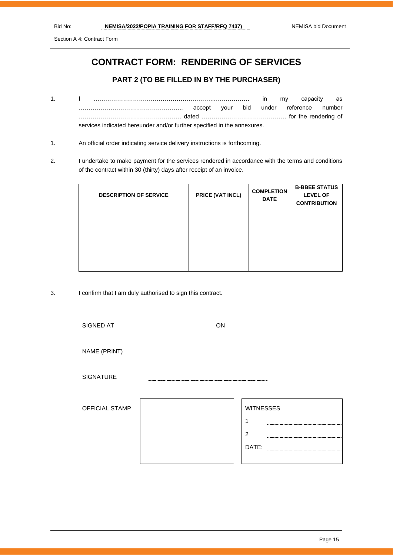Section A 4: Contract Form

# **CONTRACT FORM: RENDERING OF SERVICES**

# **PART 2 (TO BE FILLED IN BY THE PURCHASER)**

- 1. I …………………………………………………….……………… in my capacity as …………………………………………….. accept your bid under reference number ……………………………………………. dated ……………………………………. for the rendering of services indicated hereunder and/or further specified in the annexures.
- 1. An official order indicating service delivery instructions is forthcoming.
- 2. I undertake to make payment for the services rendered in accordance with the terms and conditions of the contract within 30 (thirty) days after receipt of an invoice.

| <b>DESCRIPTION OF SERVICE</b> | PRICE (VAT INCL) | <b>COMPLETION</b><br><b>DATE</b> | <b>B-BBEE STATUS</b><br><b>LEVEL OF</b><br><b>CONTRIBUTION</b> |
|-------------------------------|------------------|----------------------------------|----------------------------------------------------------------|
|                               |                  |                                  |                                                                |
|                               |                  |                                  |                                                                |

3. I confirm that I am duly authorised to sign this contract.

| SIGNED AT<br>ON       |  |                  |  |
|-----------------------|--|------------------|--|
|                       |  |                  |  |
| NAME (PRINT)          |  |                  |  |
| <b>SIGNATURE</b>      |  |                  |  |
| <b>OFFICIAL STAMP</b> |  | <b>WITNESSES</b> |  |
|                       |  |                  |  |
|                       |  | $\overline{2}$   |  |
|                       |  | DATE:            |  |
|                       |  |                  |  |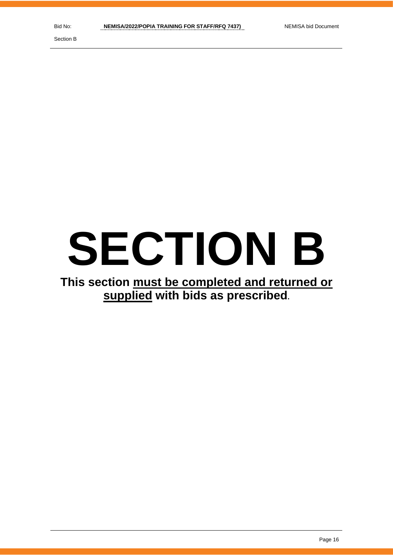Section B

# **SECTION B**

# **This section must be completed and returned or supplied with bids as prescribed.**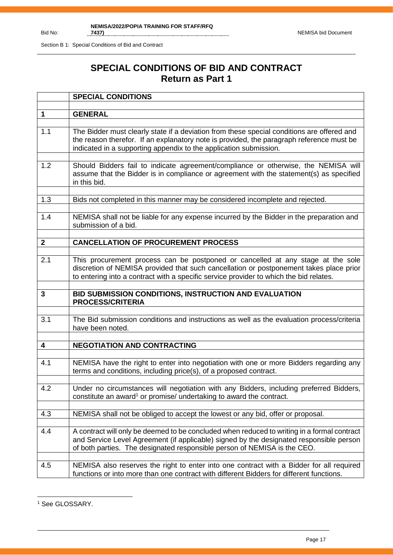Section B 1: Special Conditions of Bid and Contract

# **SPECIAL CONDITIONS OF BID AND CONTRACT Return as Part 1**

|              | <b>SPECIAL CONDITIONS</b>                                                                                                                                                                                                                                           |
|--------------|---------------------------------------------------------------------------------------------------------------------------------------------------------------------------------------------------------------------------------------------------------------------|
|              |                                                                                                                                                                                                                                                                     |
| 1            | <b>GENERAL</b>                                                                                                                                                                                                                                                      |
| 1.1          | The Bidder must clearly state if a deviation from these special conditions are offered and<br>the reason therefor. If an explanatory note is provided, the paragraph reference must be<br>indicated in a supporting appendix to the application submission.         |
| 1.2          | Should Bidders fail to indicate agreement/compliance or otherwise, the NEMISA will<br>assume that the Bidder is in compliance or agreement with the statement(s) as specified<br>in this bid.                                                                       |
| 1.3          | Bids not completed in this manner may be considered incomplete and rejected.                                                                                                                                                                                        |
| 1.4          | NEMISA shall not be liable for any expense incurred by the Bidder in the preparation and<br>submission of a bid.                                                                                                                                                    |
| $\mathbf{2}$ | <b>CANCELLATION OF PROCUREMENT PROCESS</b>                                                                                                                                                                                                                          |
|              |                                                                                                                                                                                                                                                                     |
| 2.1          | This procurement process can be postponed or cancelled at any stage at the sole<br>discretion of NEMISA provided that such cancellation or postponement takes place prior<br>to entering into a contract with a specific service provider to which the bid relates. |
|              |                                                                                                                                                                                                                                                                     |
| 3            | BID SUBMISSION CONDITIONS, INSTRUCTION AND EVALUATION<br><b>PROCESS/CRITERIA</b>                                                                                                                                                                                    |
| 3.1          | The Bid submission conditions and instructions as well as the evaluation process/criteria<br>have been noted.                                                                                                                                                       |
| 4            | <b>NEGOTIATION AND CONTRACTING</b>                                                                                                                                                                                                                                  |
|              |                                                                                                                                                                                                                                                                     |
| 4.1          | NEMISA have the right to enter into negotiation with one or more Bidders regarding any<br>terms and conditions, including price(s), of a proposed contract.                                                                                                         |
| 4.2          | Under no circumstances will negotiation with any Bidders, including preferred Bidders,<br>constitute an award <sup>1</sup> or promise/ undertaking to award the contract.                                                                                           |
| 4.3          | NEMISA shall not be obliged to accept the lowest or any bid, offer or proposal.                                                                                                                                                                                     |
| 4.4          | A contract will only be deemed to be concluded when reduced to writing in a formal contract<br>and Service Level Agreement (if applicable) signed by the designated responsible person<br>of both parties. The designated responsible person of NEMISA is the CEO.  |
| 4.5          | NEMISA also reserves the right to enter into one contract with a Bidder for all required                                                                                                                                                                            |

<sup>&</sup>lt;sup>1</sup> See GLOSSARY.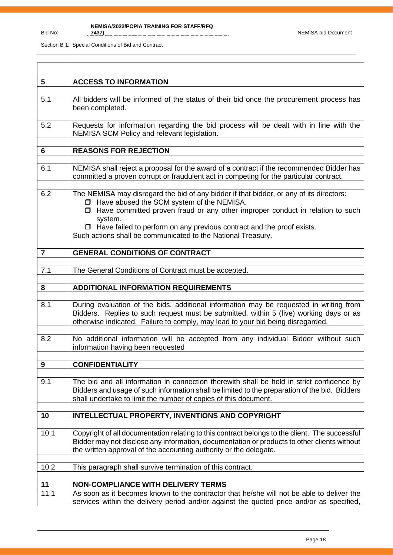| $5\phantom{1}$   | <b>ACCESS TO INFORMATION</b>                                                                                                                                                                                                                                        |
|------------------|---------------------------------------------------------------------------------------------------------------------------------------------------------------------------------------------------------------------------------------------------------------------|
|                  |                                                                                                                                                                                                                                                                     |
| 5.1              | All bidders will be informed of the status of their bid once the procurement process has<br>been completed.                                                                                                                                                         |
|                  |                                                                                                                                                                                                                                                                     |
| 5.2              | Requests for information regarding the bid process will be dealt with in line with the<br>NEMISA SCM Policy and relevant legislation.                                                                                                                               |
| 6                | <b>REASONS FOR REJECTION</b>                                                                                                                                                                                                                                        |
|                  |                                                                                                                                                                                                                                                                     |
| 6.1              | NEMISA shall reject a proposal for the award of a contract if the recommended Bidder has<br>committed a proven corrupt or fraudulent act in competing for the particular contract.                                                                                  |
|                  |                                                                                                                                                                                                                                                                     |
| 6.2              | The NEMISA may disregard the bid of any bidder if that bidder, or any of its directors:<br>□ Have abused the SCM system of the NEMISA.                                                                                                                              |
|                  | $\Box$ Have committed proven fraud or any other improper conduct in relation to such                                                                                                                                                                                |
|                  | system.                                                                                                                                                                                                                                                             |
|                  | $\Box$ Have failed to perform on any previous contract and the proof exists.                                                                                                                                                                                        |
|                  | Such actions shall be communicated to the National Treasury.                                                                                                                                                                                                        |
|                  |                                                                                                                                                                                                                                                                     |
| $\overline{7}$   | <b>GENERAL CONDITIONS OF CONTRACT</b>                                                                                                                                                                                                                               |
| 7.1              | The General Conditions of Contract must be accepted.                                                                                                                                                                                                                |
|                  |                                                                                                                                                                                                                                                                     |
| 8                | <b>ADDITIONAL INFORMATION REQUIREMENTS</b>                                                                                                                                                                                                                          |
|                  |                                                                                                                                                                                                                                                                     |
| 8.1              | During evaluation of the bids, additional information may be requested in writing from<br>Bidders. Replies to such request must be submitted, within 5 (five) working days or as<br>otherwise indicated. Failure to comply, may lead to your bid being disregarded. |
| 8.2              | No additional information will be accepted from any individual Bidder without such                                                                                                                                                                                  |
|                  | information having been requested                                                                                                                                                                                                                                   |
| $\boldsymbol{9}$ | <b>CONFIDENTIALITY</b>                                                                                                                                                                                                                                              |
|                  |                                                                                                                                                                                                                                                                     |
| 9.1              | The bid and all information in connection therewith shall be held in strict confidence by<br>Bidders and usage of such information shall be limited to the preparation of the bid. Bidders<br>shall undertake to limit the number of copies of this document.       |
|                  |                                                                                                                                                                                                                                                                     |
| 10               | <b>INTELLECTUAL PROPERTY, INVENTIONS AND COPYRIGHT</b>                                                                                                                                                                                                              |
| 10.1             | Copyright of all documentation relating to this contract belongs to the client. The successful<br>Bidder may not disclose any information, documentation or products to other clients without<br>the written approval of the accounting authority or the delegate.  |
| 10.2             | This paragraph shall survive termination of this contract.                                                                                                                                                                                                          |
|                  |                                                                                                                                                                                                                                                                     |
| 11               | <b>NON-COMPLIANCE WITH DELIVERY TERMS</b>                                                                                                                                                                                                                           |
| 11.1             | As soon as it becomes known to the contractor that he/she will not be able to deliver the<br>services within the delivery period and/or against the quoted price and/or as specified,                                                                               |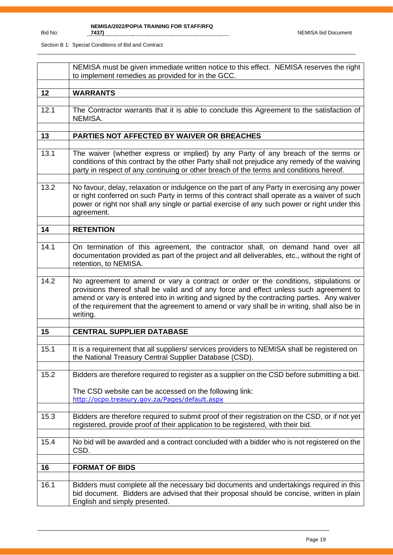|      | NEMISA must be given immediate written notice to this effect. NEMISA reserves the right<br>to implement remedies as provided for in the GCC.                                                                                                                                                                                                                                             |
|------|------------------------------------------------------------------------------------------------------------------------------------------------------------------------------------------------------------------------------------------------------------------------------------------------------------------------------------------------------------------------------------------|
| 12   | <b>WARRANTS</b>                                                                                                                                                                                                                                                                                                                                                                          |
| 12.1 | The Contractor warrants that it is able to conclude this Agreement to the satisfaction of<br>NEMISA.                                                                                                                                                                                                                                                                                     |
| 13   | PARTIES NOT AFFECTED BY WAIVER OR BREACHES                                                                                                                                                                                                                                                                                                                                               |
| 13.1 | The waiver (whether express or implied) by any Party of any breach of the terms or<br>conditions of this contract by the other Party shall not prejudice any remedy of the waiving<br>party in respect of any continuing or other breach of the terms and conditions hereof.                                                                                                             |
| 13.2 | No favour, delay, relaxation or indulgence on the part of any Party in exercising any power<br>or right conferred on such Party in terms of this contract shall operate as a waiver of such<br>power or right nor shall any single or partial exercise of any such power or right under this<br>agreement.                                                                               |
| 14   | <b>RETENTION</b>                                                                                                                                                                                                                                                                                                                                                                         |
| 14.1 | On termination of this agreement, the contractor shall, on demand hand over all<br>documentation provided as part of the project and all deliverables, etc., without the right of<br>retention, to NEMISA.                                                                                                                                                                               |
| 14.2 | No agreement to amend or vary a contract or order or the conditions, stipulations or<br>provisions thereof shall be valid and of any force and effect unless such agreement to<br>amend or vary is entered into in writing and signed by the contracting parties. Any waiver<br>of the requirement that the agreement to amend or vary shall be in writing, shall also be in<br>writing. |
| 15   | <b>CENTRAL SUPPLIER DATABASE</b>                                                                                                                                                                                                                                                                                                                                                         |
|      |                                                                                                                                                                                                                                                                                                                                                                                          |
| 15.1 | It is a requirement that all suppliers/services providers to NEMISA shall be registered on<br>the National Treasury Central Supplier Database (CSD).                                                                                                                                                                                                                                     |
| 15.2 | Bidders are therefore required to register as a supplier on the CSD before submitting a bid.                                                                                                                                                                                                                                                                                             |
|      | The CSD website can be accessed on the following link:<br>http://ocpo.treasury.gov.za/Pages/default.aspx                                                                                                                                                                                                                                                                                 |
| 15.3 | Bidders are therefore required to submit proof of their registration on the CSD, or if not yet<br>registered, provide proof of their application to be registered, with their bid.                                                                                                                                                                                                       |
| 15.4 | No bid will be awarded and a contract concluded with a bidder who is not registered on the<br>CSD.                                                                                                                                                                                                                                                                                       |
| 16   | <b>FORMAT OF BIDS</b>                                                                                                                                                                                                                                                                                                                                                                    |
|      |                                                                                                                                                                                                                                                                                                                                                                                          |
| 16.1 | Bidders must complete all the necessary bid documents and undertakings required in this<br>bid document. Bidders are advised that their proposal should be concise, written in plain<br>English and simply presented.                                                                                                                                                                    |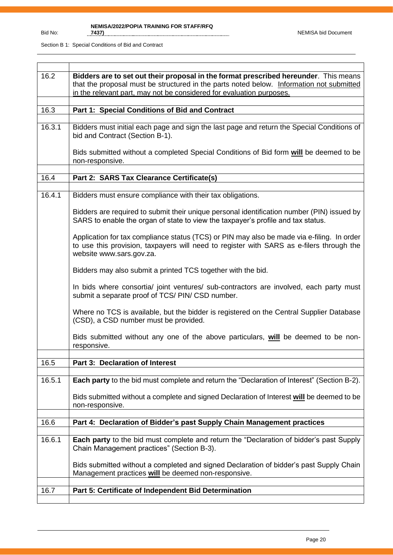| 16.2   | Bidders are to set out their proposal in the format prescribed hereunder. This means<br>that the proposal must be structured in the parts noted below. Information not submitted<br>in the relevant part, may not be considered for evaluation purposes. |
|--------|----------------------------------------------------------------------------------------------------------------------------------------------------------------------------------------------------------------------------------------------------------|
|        |                                                                                                                                                                                                                                                          |
| 16.3   | Part 1: Special Conditions of Bid and Contract                                                                                                                                                                                                           |
|        |                                                                                                                                                                                                                                                          |
| 16.3.1 | Bidders must initial each page and sign the last page and return the Special Conditions of<br>bid and Contract (Section B-1).                                                                                                                            |
|        | Bids submitted without a completed Special Conditions of Bid form will be deemed to be<br>non-responsive.                                                                                                                                                |
|        |                                                                                                                                                                                                                                                          |
| 16.4   | Part 2: SARS Tax Clearance Certificate(s)                                                                                                                                                                                                                |
|        |                                                                                                                                                                                                                                                          |
| 16.4.1 | Bidders must ensure compliance with their tax obligations.                                                                                                                                                                                               |
|        | Bidders are required to submit their unique personal identification number (PIN) issued by<br>SARS to enable the organ of state to view the taxpayer's profile and tax status.                                                                           |
|        | Application for tax compliance status (TCS) or PIN may also be made via e-filing. In order<br>to use this provision, taxpayers will need to register with SARS as e-filers through the<br>website www.sars.gov.za.                                       |
|        | Bidders may also submit a printed TCS together with the bid.                                                                                                                                                                                             |
|        | In bids where consortia/ joint ventures/ sub-contractors are involved, each party must<br>submit a separate proof of TCS/ PIN/ CSD number.                                                                                                               |
|        | Where no TCS is available, but the bidder is registered on the Central Supplier Database<br>(CSD), a CSD number must be provided.                                                                                                                        |
|        | Bids submitted without any one of the above particulars, will be deemed to be non-<br>responsive.                                                                                                                                                        |
|        |                                                                                                                                                                                                                                                          |
| 16.5   | Part 3: Declaration of Interest                                                                                                                                                                                                                          |
|        |                                                                                                                                                                                                                                                          |
| 16.5.1 | <b>Each party</b> to the bid must complete and return the "Declaration of Interest" (Section B-2).                                                                                                                                                       |
|        | Bids submitted without a complete and signed Declaration of Interest will be deemed to be<br>non-responsive.                                                                                                                                             |
|        |                                                                                                                                                                                                                                                          |
| 16.6   | Part 4: Declaration of Bidder's past Supply Chain Management practices                                                                                                                                                                                   |
|        |                                                                                                                                                                                                                                                          |
| 16.6.1 | Each party to the bid must complete and return the "Declaration of bidder's past Supply<br>Chain Management practices" (Section B-3).                                                                                                                    |
|        | Bids submitted without a completed and signed Declaration of bidder's past Supply Chain<br>Management practices will be deemed non-responsive.                                                                                                           |
|        |                                                                                                                                                                                                                                                          |
| 16.7   | Part 5: Certificate of Independent Bid Determination                                                                                                                                                                                                     |
|        |                                                                                                                                                                                                                                                          |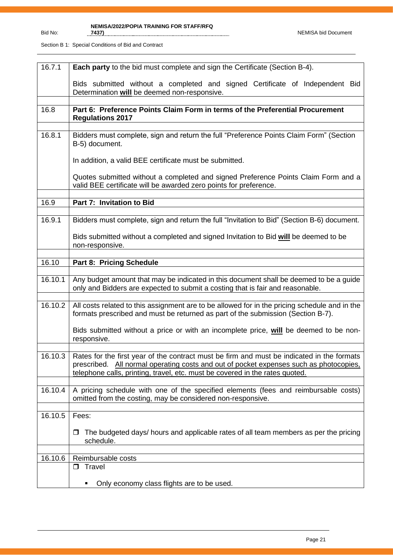| 16.7.1  | Each party to the bid must complete and sign the Certificate (Section B-4).                                                                                                                                                                                          |  |  |  |  |
|---------|----------------------------------------------------------------------------------------------------------------------------------------------------------------------------------------------------------------------------------------------------------------------|--|--|--|--|
|         | Bids submitted without a completed and signed Certificate of Independent Bid<br>Determination will be deemed non-responsive.                                                                                                                                         |  |  |  |  |
|         |                                                                                                                                                                                                                                                                      |  |  |  |  |
|         |                                                                                                                                                                                                                                                                      |  |  |  |  |
| 16.8    | Part 6: Preference Points Claim Form in terms of the Preferential Procurement<br><b>Regulations 2017</b>                                                                                                                                                             |  |  |  |  |
|         |                                                                                                                                                                                                                                                                      |  |  |  |  |
| 16.8.1  | Bidders must complete, sign and return the full "Preference Points Claim Form" (Section<br>B-5) document.                                                                                                                                                            |  |  |  |  |
|         | In addition, a valid BEE certificate must be submitted.                                                                                                                                                                                                              |  |  |  |  |
|         | Quotes submitted without a completed and signed Preference Points Claim Form and a<br>valid BEE certificate will be awarded zero points for preference.                                                                                                              |  |  |  |  |
|         |                                                                                                                                                                                                                                                                      |  |  |  |  |
| 16.9    | Part 7: Invitation to Bid                                                                                                                                                                                                                                            |  |  |  |  |
|         |                                                                                                                                                                                                                                                                      |  |  |  |  |
| 16.9.1  | Bidders must complete, sign and return the full "Invitation to Bid" (Section B-6) document.                                                                                                                                                                          |  |  |  |  |
|         | Bids submitted without a completed and signed Invitation to Bid will be deemed to be<br>non-responsive.                                                                                                                                                              |  |  |  |  |
|         |                                                                                                                                                                                                                                                                      |  |  |  |  |
| 16.10   | Part 8: Pricing Schedule                                                                                                                                                                                                                                             |  |  |  |  |
|         |                                                                                                                                                                                                                                                                      |  |  |  |  |
|         |                                                                                                                                                                                                                                                                      |  |  |  |  |
| 16.10.1 | Any budget amount that may be indicated in this document shall be deemed to be a guide<br>only and Bidders are expected to submit a costing that is fair and reasonable.                                                                                             |  |  |  |  |
|         |                                                                                                                                                                                                                                                                      |  |  |  |  |
| 16.10.2 | All costs related to this assignment are to be allowed for in the pricing schedule and in the<br>formats prescribed and must be returned as part of the submission (Section B-7).                                                                                    |  |  |  |  |
|         |                                                                                                                                                                                                                                                                      |  |  |  |  |
|         | Bids submitted without a price or with an incomplete price, will be deemed to be non-<br>responsive.                                                                                                                                                                 |  |  |  |  |
|         |                                                                                                                                                                                                                                                                      |  |  |  |  |
| 16.10.3 | Rates for the first year of the contract must be firm and must be indicated in the formats<br>prescribed. All normal operating costs and out of pocket expenses such as photocopies,<br>telephone calls, printing, travel, etc. must be covered in the rates quoted. |  |  |  |  |
|         |                                                                                                                                                                                                                                                                      |  |  |  |  |
| 16.10.4 | A pricing schedule with one of the specified elements (fees and reimbursable costs)<br>omitted from the costing, may be considered non-responsive.                                                                                                                   |  |  |  |  |
|         |                                                                                                                                                                                                                                                                      |  |  |  |  |
| 16.10.5 | Fees:                                                                                                                                                                                                                                                                |  |  |  |  |
|         | The budgeted days/ hours and applicable rates of all team members as per the pricing<br>□<br>schedule.                                                                                                                                                               |  |  |  |  |
|         |                                                                                                                                                                                                                                                                      |  |  |  |  |
| 16.10.6 | Reimbursable costs                                                                                                                                                                                                                                                   |  |  |  |  |
|         | $\Box$                                                                                                                                                                                                                                                               |  |  |  |  |
|         | Travel<br>Only economy class flights are to be used.                                                                                                                                                                                                                 |  |  |  |  |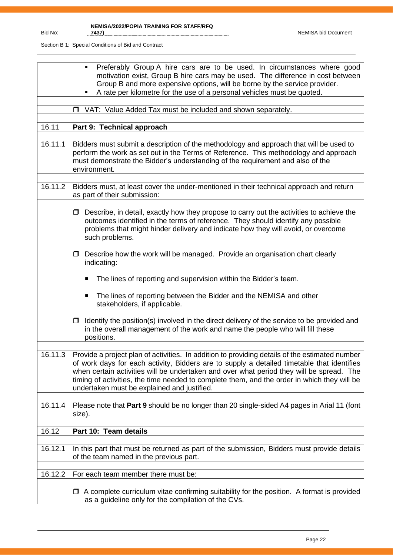|         | Preferably Group A hire cars are to be used. In circumstances where good<br>motivation exist, Group B hire cars may be used. The difference in cost between<br>Group B and more expensive options, will be borne by the service provider.<br>A rate per kilometre for the use of a personal vehicles must be quoted.                                                                                                                   |
|---------|----------------------------------------------------------------------------------------------------------------------------------------------------------------------------------------------------------------------------------------------------------------------------------------------------------------------------------------------------------------------------------------------------------------------------------------|
|         | □ VAT: Value Added Tax must be included and shown separately.                                                                                                                                                                                                                                                                                                                                                                          |
| 16.11   | Part 9: Technical approach                                                                                                                                                                                                                                                                                                                                                                                                             |
| 16.11.1 | Bidders must submit a description of the methodology and approach that will be used to<br>perform the work as set out in the Terms of Reference. This methodology and approach<br>must demonstrate the Bidder's understanding of the requirement and also of the<br>environment.                                                                                                                                                       |
| 16.11.2 | Bidders must, at least cover the under-mentioned in their technical approach and return<br>as part of their submission:                                                                                                                                                                                                                                                                                                                |
|         | Describe, in detail, exactly how they propose to carry out the activities to achieve the<br>$\Box$<br>outcomes identified in the terms of reference. They should identify any possible<br>problems that might hinder delivery and indicate how they will avoid, or overcome<br>such problems.                                                                                                                                          |
|         | Describe how the work will be managed. Provide an organisation chart clearly<br>$\Box$<br>indicating:                                                                                                                                                                                                                                                                                                                                  |
|         | The lines of reporting and supervision within the Bidder's team.<br>ш                                                                                                                                                                                                                                                                                                                                                                  |
|         | The lines of reporting between the Bidder and the NEMISA and other<br>п<br>stakeholders, if applicable.                                                                                                                                                                                                                                                                                                                                |
|         | Identify the position(s) involved in the direct delivery of the service to be provided and<br>$\Box$<br>in the overall management of the work and name the people who will fill these<br>positions.                                                                                                                                                                                                                                    |
| 16.11.3 | Provide a project plan of activities. In addition to providing details of the estimated number<br>of work days for each activity, Bidders are to supply a detailed timetable that identifies<br>when certain activities will be undertaken and over what period they will be spread. The<br>timing of activities, the time needed to complete them, and the order in which they will be<br>undertaken must be explained and justified. |
| 16.11.4 | Please note that Part 9 should be no longer than 20 single-sided A4 pages in Arial 11 (font<br>size).                                                                                                                                                                                                                                                                                                                                  |
| 16.12   | Part 10: Team details                                                                                                                                                                                                                                                                                                                                                                                                                  |
| 16.12.1 | In this part that must be returned as part of the submission, Bidders must provide details<br>of the team named in the previous part.                                                                                                                                                                                                                                                                                                  |
| 16.12.2 | For each team member there must be:                                                                                                                                                                                                                                                                                                                                                                                                    |
|         | $\Box$ A complete curriculum vitae confirming suitability for the position. A format is provided<br>as a guideline only for the compilation of the CVs.                                                                                                                                                                                                                                                                                |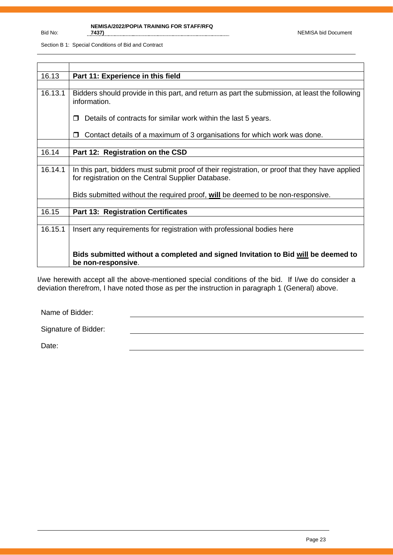Section B 1: Special Conditions of Bid and Contract

| 16.13   | Part 11: Experience in this field                                                                                                                    |
|---------|------------------------------------------------------------------------------------------------------------------------------------------------------|
|         |                                                                                                                                                      |
| 16.13.1 | Bidders should provide in this part, and return as part the submission, at least the following<br>information.                                       |
|         | Details of contracts for similar work within the last 5 years.<br>п                                                                                  |
|         | Contact details of a maximum of 3 organisations for which work was done.<br>$\Box$                                                                   |
|         |                                                                                                                                                      |
| 16.14   | Part 12: Registration on the CSD                                                                                                                     |
|         |                                                                                                                                                      |
| 16.14.1 | In this part, bidders must submit proof of their registration, or proof that they have applied<br>for registration on the Central Supplier Database. |
|         | Bids submitted without the required proof, will be deemed to be non-responsive.                                                                      |
|         |                                                                                                                                                      |
| 16.15   | <b>Part 13: Registration Certificates</b>                                                                                                            |
|         |                                                                                                                                                      |
| 16.15.1 | Insert any requirements for registration with professional bodies here                                                                               |
|         | Bids submitted without a completed and signed Invitation to Bid will be deemed to<br>be non-responsive.                                              |

I/we herewith accept all the above-mentioned special conditions of the bid. If I/we do consider a deviation therefrom, I have noted those as per the instruction in paragraph 1 (General) above.

Name of Bidder:

Signature of Bidder:

Date: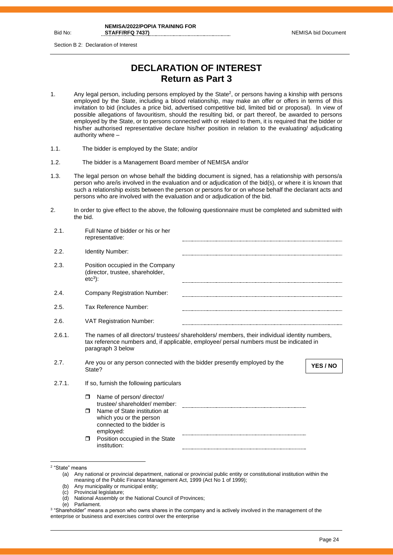Section B 2: Declaration of Interest

# **DECLARATION OF INTEREST Return as Part 3**

- 1. Any legal person, including persons employed by the State<sup>2</sup>, or persons having a kinship with persons employed by the State, including a blood relationship, may make an offer or offers in terms of this invitation to bid (includes a price bid, advertised competitive bid, limited bid or proposal). In view of possible allegations of favouritism, should the resulting bid, or part thereof, be awarded to persons employed by the State, or to persons connected with or related to them, it is required that the bidder or his/her authorised representative declare his/her position in relation to the evaluating/ adjudicating authority where –
- 1.1. The bidder is employed by the State; and/or
- 1.2. The bidder is a Management Board member of NEMISA and/or
- 1.3. The legal person on whose behalf the bidding document is signed, has a relationship with persons/a person who are/is involved in the evaluation and or adjudication of the bid(s), or where it is known that such a relationship exists between the person or persons for or on whose behalf the declarant acts and persons who are involved with the evaluation and or adjudication of the bid.
- 2. In order to give effect to the above, the following questionnaire must be completed and submitted with the bid.

| 2.1.   |          | Full Name of bidder or his or her<br>representative:                                                                              |                                                                                                                                                                                            |          |
|--------|----------|-----------------------------------------------------------------------------------------------------------------------------------|--------------------------------------------------------------------------------------------------------------------------------------------------------------------------------------------|----------|
| 2.2.   |          | <b>Identity Number:</b>                                                                                                           |                                                                                                                                                                                            |          |
| 2.3.   | $etc3$ : | Position occupied in the Company<br>(director, trustee, shareholder,                                                              |                                                                                                                                                                                            |          |
| 2.4.   |          | <b>Company Registration Number:</b>                                                                                               |                                                                                                                                                                                            |          |
| 2.5.   |          | Tax Reference Number:                                                                                                             |                                                                                                                                                                                            |          |
| 2.6.   |          | <b>VAT Registration Number:</b>                                                                                                   |                                                                                                                                                                                            |          |
| 2.6.1. |          | paragraph 3 below                                                                                                                 | The names of all directors/ trustees/ shareholders/ members, their individual identity numbers,<br>tax reference numbers and, if applicable, employee/ persal numbers must be indicated in |          |
| 2.7.   | State?   |                                                                                                                                   | Are you or any person connected with the bidder presently employed by the                                                                                                                  | YES / NO |
| 2.7.1. |          | If so, furnish the following particulars                                                                                          |                                                                                                                                                                                            |          |
|        | $\Box$   | Name of person/ director/                                                                                                         |                                                                                                                                                                                            |          |
|        | ⊓        | trustee/shareholder/member:<br>Name of State institution at<br>which you or the person<br>connected to the bidder is<br>employed: |                                                                                                                                                                                            |          |
|        | $\Box$   | Position occupied in the State<br>institution:                                                                                    |                                                                                                                                                                                            |          |

- (c) Provincial legislature;
- (d) National Assembly or the National Council of Provinces;
- (e) Parliament.

<sup>2</sup> "State" means

<sup>(</sup>a) Any national or provincial department, national or provincial public entity or constitutional institution within the meaning of the Public Finance Management Act, 1999 (Act No 1 of 1999);

<sup>(</sup>b) Any municipality or municipal entity;

<sup>3</sup> "Shareholder" means a person who owns shares in the company and is actively involved in the management of the enterprise or business and exercises control over the enterprise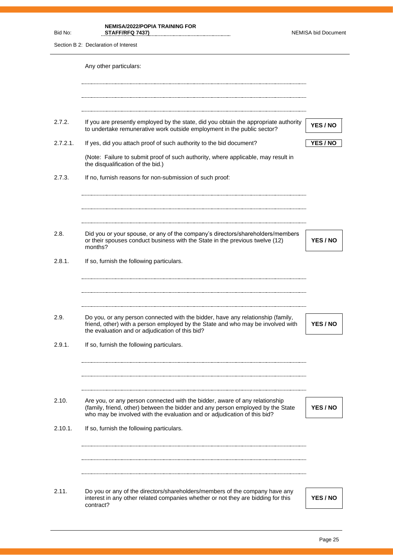| Bid No:  | <b>NEMISA/2022/POPIA TRAINING FOR</b><br>STAFF/RFQ 7437)                                                                                                                                                                                   | <b>NEMISA bid Document</b> |
|----------|--------------------------------------------------------------------------------------------------------------------------------------------------------------------------------------------------------------------------------------------|----------------------------|
|          | Section B 2: Declaration of Interest                                                                                                                                                                                                       |                            |
|          | Any other particulars:                                                                                                                                                                                                                     |                            |
| 2.7.2.   | If you are presently employed by the state, did you obtain the appropriate authority<br>to undertake remunerative work outside employment in the public sector?                                                                            | YES / NO                   |
| 2.7.2.1. | If yes, did you attach proof of such authority to the bid document?                                                                                                                                                                        | YES / NO                   |
|          | (Note: Failure to submit proof of such authority, where applicable, may result in<br>the disqualification of the bid.)                                                                                                                     |                            |
| 2.7.3.   | If no, furnish reasons for non-submission of such proof:                                                                                                                                                                                   |                            |
|          |                                                                                                                                                                                                                                            |                            |
| 2.8.     | Did you or your spouse, or any of the company's directors/shareholders/members<br>or their spouses conduct business with the State in the previous twelve (12)<br>months?                                                                  | <b>YES / NO</b>            |
| 2.8.1.   | If so, furnish the following particulars.                                                                                                                                                                                                  |                            |
| 2.9.     | Do you, or any person connected with the bidder, have any relationship (family,                                                                                                                                                            |                            |
|          | friend, other) with a person employed by the State and who may be involved with<br>the evaluation and or adjudication of this bid?                                                                                                         | YES / NO                   |
| 2.9.1.   | If so, furnish the following particulars.                                                                                                                                                                                                  |                            |
| 2.10.    | Are you, or any person connected with the bidder, aware of any relationship<br>(family, friend, other) between the bidder and any person employed by the State<br>who may be involved with the evaluation and or adjudication of this bid? | YES / NO                   |
| 2.10.1.  | If so, furnish the following particulars.                                                                                                                                                                                                  |                            |
|          |                                                                                                                                                                                                                                            |                            |
| 2.11.    | Do you or any of the directors/shareholders/members of the company have any<br>interest in any other related companies whether or not they are bidding for this<br>contract?                                                               | YES / NO                   |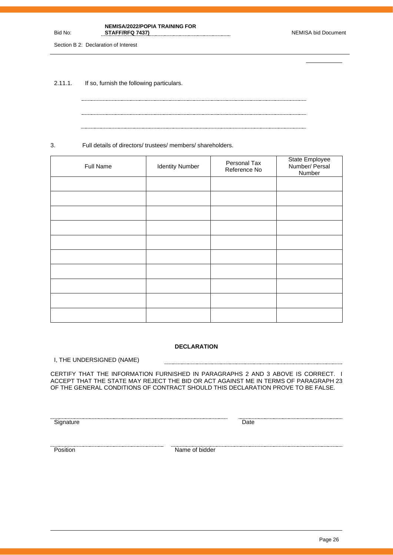### Bid No: **NEMISA/2022/POPIA TRAINING FOR**  STAFF/RFQ 7437) NEMISA bid Document

Section B 2: Declaration of Interest

2.11.1. If so, furnish the following particulars.

3. Full details of directors/ trustees/ members/ shareholders.

| Full Name | <b>Identity Number</b> | Personal Tax<br>Reference No | State Employee<br>Number/ Persal<br>Number |
|-----------|------------------------|------------------------------|--------------------------------------------|
|           |                        |                              |                                            |
|           |                        |                              |                                            |
|           |                        |                              |                                            |
|           |                        |                              |                                            |
|           |                        |                              |                                            |
|           |                        |                              |                                            |
|           |                        |                              |                                            |
|           |                        |                              |                                            |
|           |                        |                              |                                            |
|           |                        |                              |                                            |

### **DECLARATION**

-----------------------

I, THE UNDERSIGNED (NAME)

CERTIFY THAT THE INFORMATION FURNISHED IN PARAGRAPHS 2 AND 3 ABOVE IS CORRECT. I ACCEPT THAT THE STATE MAY REJECT THE BID OR ACT AGAINST ME IN TERMS OF PARAGRAPH 23 OF THE GENERAL CONDITIONS OF CONTRACT SHOULD THIS DECLARATION PROVE TO BE FALSE.

<u>Signature Date</u><br>Signature Date

**Position** Name of bidder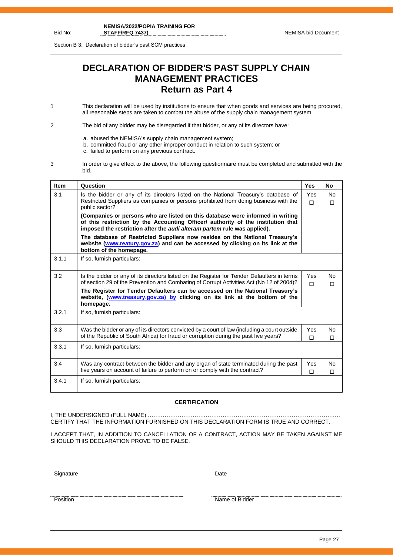Section B 3: Declaration of bidder's past SCM practices

# **DECLARATION OF BIDDER'S PAST SUPPLY CHAIN MANAGEMENT PRACTICES Return as Part 4**

1 This declaration will be used by institutions to ensure that when goods and services are being procured, all reasonable steps are taken to combat the abuse of the supply chain management system.

2 The bid of any bidder may be disregarded if that bidder, or any of its directors have:

- a. abused the NEMISA's supply chain management system;
- b. committed fraud or any other improper conduct in relation to such system; or
- c. failed to perform on any previous contract.
- 3 In order to give effect to the above, the following questionnaire must be completed and submitted with the bid.

| <b>Item</b> | Question                                                                                                                                                                                                                                       | <b>Yes</b>      | No                  |
|-------------|------------------------------------------------------------------------------------------------------------------------------------------------------------------------------------------------------------------------------------------------|-----------------|---------------------|
| 3.1         | Is the bidder or any of its directors listed on the National Treasury's database of<br>Restricted Suppliers as companies or persons prohibited from doing business with the<br>public sector?                                                  | Yes<br>$\Box$   | <b>No</b><br>$\Box$ |
|             | (Companies or persons who are listed on this database were informed in writing<br>of this restriction by the Accounting Officer/ authority of the institution that<br>imposed the restriction after the audi alteram partem rule was applied). |                 |                     |
|             | The database of Restricted Suppliers now resides on the National Treasury's<br>website (www.reatury.gov.za) and can be accessed by clicking on its link at the<br>bottom of the homepage.                                                      |                 |                     |
| 3.1.1       | If so, furnish particulars:                                                                                                                                                                                                                    |                 |                     |
| 3.2         | Is the bidder or any of its directors listed on the Register for Tender Defaulters in terms<br>of section 29 of the Prevention and Combating of Corrupt Activities Act (No 12 of 2004)?                                                        | <b>Yes</b><br>п | No<br>$\Box$        |
|             | The Register for Tender Defaulters can be accessed on the National Treasury's<br>website, (www.treasury.gov.za) by clicking on its link at the bottom of the<br>homepage.                                                                      |                 |                     |
| 3.2.1       | If so, furnish particulars:                                                                                                                                                                                                                    |                 |                     |
| 3.3         | Was the bidder or any of its directors convicted by a court of law (including a court outside<br>of the Republic of South Africa) for fraud or corruption during the past five years?                                                          | Yes<br>П        | No<br>$\Box$        |
| 3.3.1       | If so, furnish particulars:                                                                                                                                                                                                                    |                 |                     |
| 3.4         | Was any contract between the bidder and any organ of state terminated during the past<br>five years on account of failure to perform on or comply with the contract?                                                                           | Yes<br>П        | <b>No</b><br>$\Box$ |
| 3.4.1       | If so, furnish particulars:                                                                                                                                                                                                                    |                 |                     |

### **CERTIFICATION**

I, THE UNDERSIGNED (FULL NAME) …………………………………………………………………………………………. CERTIFY THAT THE INFORMATION FURNISHED ON THIS DECLARATION FORM IS TRUE AND CORRECT.

I ACCEPT THAT, IN ADDITION TO CANCELLATION OF A CONTRACT, ACTION MAY BE TAKEN AGAINST ME SHOULD THIS DECLARATION PROVE TO BE FALSE.

<u>Signature Date</u>

<u>Position</u> Name of Bidder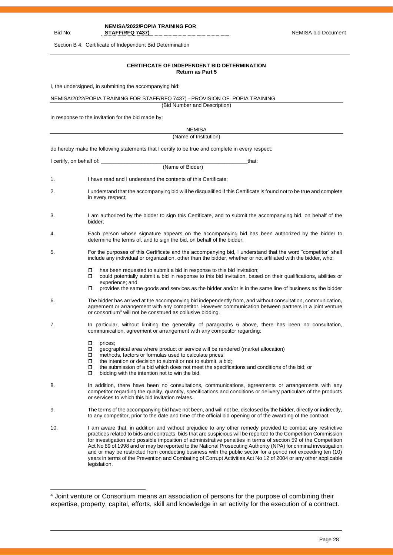**NEMISA/2022/POPIA TRAINING FOR** 

STAFF/RFQ 7437) NEMISA bid Document

Section B 4: Certificate of Independent Bid Determination

Bid No:

### **CERTIFICATE OF INDEPENDENT BID DETERMINATION Return as Part 5**

I, the undersigned, in submitting the accompanying bid:

NEMISA/2022/POPIA TRAINING FOR STAFF/RFQ 7437) - PROVISION OF POPIA TRAINING

(Bid Number and Description)

in response to the invitation for the bid made by:

| <b>NEMISA</b>                                                                                    |                                                                                                                                                                                                                                                                                                                                                                                                                                                                                                                                                                                                                                                                                                                       |  |  |
|--------------------------------------------------------------------------------------------------|-----------------------------------------------------------------------------------------------------------------------------------------------------------------------------------------------------------------------------------------------------------------------------------------------------------------------------------------------------------------------------------------------------------------------------------------------------------------------------------------------------------------------------------------------------------------------------------------------------------------------------------------------------------------------------------------------------------------------|--|--|
| (Name of Institution)                                                                            |                                                                                                                                                                                                                                                                                                                                                                                                                                                                                                                                                                                                                                                                                                                       |  |  |
| do hereby make the following statements that I certify to be true and complete in every respect: |                                                                                                                                                                                                                                                                                                                                                                                                                                                                                                                                                                                                                                                                                                                       |  |  |
| I certify, on behalf of:                                                                         | that:                                                                                                                                                                                                                                                                                                                                                                                                                                                                                                                                                                                                                                                                                                                 |  |  |
|                                                                                                  | (Name of Bidder)                                                                                                                                                                                                                                                                                                                                                                                                                                                                                                                                                                                                                                                                                                      |  |  |
| 1.                                                                                               | I have read and I understand the contents of this Certificate;                                                                                                                                                                                                                                                                                                                                                                                                                                                                                                                                                                                                                                                        |  |  |
| 2.                                                                                               | I understand that the accompanying bid will be disqualified if this Certificate is found not to be true and complete<br>in every respect;                                                                                                                                                                                                                                                                                                                                                                                                                                                                                                                                                                             |  |  |
| 3.                                                                                               | I am authorized by the bidder to sign this Certificate, and to submit the accompanying bid, on behalf of the<br>bidder:                                                                                                                                                                                                                                                                                                                                                                                                                                                                                                                                                                                               |  |  |
| 4.                                                                                               | Each person whose signature appears on the accompanying bid has been authorized by the bidder to<br>determine the terms of, and to sign the bid, on behalf of the bidder;                                                                                                                                                                                                                                                                                                                                                                                                                                                                                                                                             |  |  |
| 5.                                                                                               | For the purposes of this Certificate and the accompanying bid, I understand that the word "competitor" shall<br>include any individual or organization, other than the bidder, whether or not affiliated with the bidder, who:                                                                                                                                                                                                                                                                                                                                                                                                                                                                                        |  |  |
|                                                                                                  | $\Box$<br>has been requested to submit a bid in response to this bid invitation;<br>σ<br>could potentially submit a bid in response to this bid invitation, based on their qualifications, abilities or<br>experience; and                                                                                                                                                                                                                                                                                                                                                                                                                                                                                            |  |  |
|                                                                                                  | provides the same goods and services as the bidder and/or is in the same line of business as the bidder<br>σ                                                                                                                                                                                                                                                                                                                                                                                                                                                                                                                                                                                                          |  |  |
| 6.                                                                                               | The bidder has arrived at the accompanying bid independently from, and without consultation, communication,<br>agreement or arrangement with any competitor. However communication between partners in a joint venture<br>or consortium <sup>4</sup> will not be construed as collusive bidding.                                                                                                                                                                                                                                                                                                                                                                                                                      |  |  |
| 7.                                                                                               | In particular, without limiting the generality of paragraphs 6 above, there has been no consultation,<br>communication, agreement or arrangement with any competitor regarding:                                                                                                                                                                                                                                                                                                                                                                                                                                                                                                                                       |  |  |
|                                                                                                  | σ<br>prices;<br>σ<br>geographical area where product or service will be rendered (market allocation)<br>methods, factors or formulas used to calculate prices;<br>$\Box$<br>$\Box$<br>the intention or decision to submit or not to submit, a bid;<br>the submission of a bid which does not meet the specifications and conditions of the bid; or<br>π<br>bidding with the intention not to win the bid.<br>σ                                                                                                                                                                                                                                                                                                        |  |  |
| 8.                                                                                               | In addition, there have been no consultations, communications, agreements or arrangements with any<br>competitor regarding the quality, quantity, specifications and conditions or delivery particulars of the products<br>or services to which this bid invitation relates.                                                                                                                                                                                                                                                                                                                                                                                                                                          |  |  |
| 9.                                                                                               | The terms of the accompanying bid have not been, and will not be, disclosed by the bidder, directly or indirectly,<br>to any competitor, prior to the date and time of the official bid opening or of the awarding of the contract.                                                                                                                                                                                                                                                                                                                                                                                                                                                                                   |  |  |
| 10.                                                                                              | I am aware that, in addition and without prejudice to any other remedy provided to combat any restrictive<br>practices related to bids and contracts, bids that are suspicious will be reported to the Competition Commission<br>for investigation and possible imposition of administrative penalties in terms of section 59 of the Competition<br>Act No 89 of 1998 and or may be reported to the National Prosecuting Authority (NPA) for criminal investigation<br>and or may be restricted from conducting business with the public sector for a period not exceeding ten (10)<br>years in terms of the Prevention and Combating of Corrupt Activities Act No 12 of 2004 or any other applicable<br>legislation. |  |  |

<sup>4</sup> Joint venture or Consortium means an association of persons for the purpose of combining their expertise, property, capital, efforts, skill and knowledge in an activity for the execution of a contract.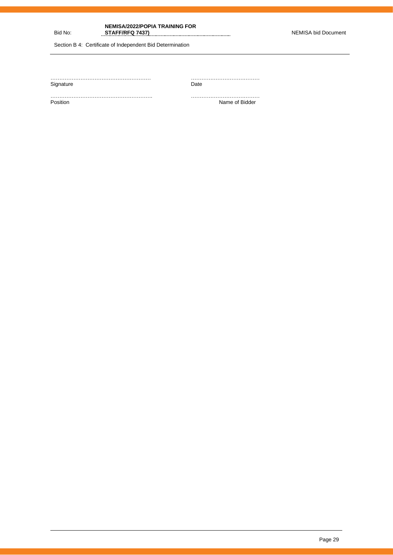**NEMISA/2022/POPIA TRAINING FOR STAFF/RFQ 7437)** NEMISA bid Document

Section B 4: Certificate of Independent Bid Determination

Bid No:

| Signature | Date           |
|-----------|----------------|
|           | Name of Bidder |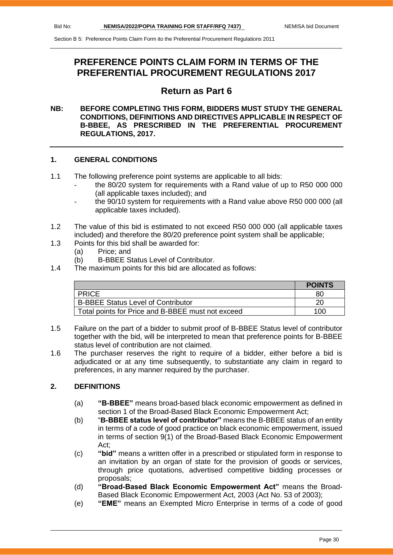# **PREFERENCE POINTS CLAIM FORM IN TERMS OF THE PREFERENTIAL PROCUREMENT REGULATIONS 2017**

# **Return as Part 6**

# **NB: BEFORE COMPLETING THIS FORM, BIDDERS MUST STUDY THE GENERAL CONDITIONS, DEFINITIONS AND DIRECTIVES APPLICABLE IN RESPECT OF B-BBEE, AS PRESCRIBED IN THE PREFERENTIAL PROCUREMENT REGULATIONS, 2017.**

# **1. GENERAL CONDITIONS**

- 1.1 The following preference point systems are applicable to all bids:
	- the 80/20 system for requirements with a Rand value of up to R50 000 000 (all applicable taxes included); and
	- the 90/10 system for requirements with a Rand value above R50 000 000 (all applicable taxes included).
- 1.2 The value of this bid is estimated to not exceed R50 000 000 (all applicable taxes included) and therefore the 80/20 preference point system shall be applicable;
- 1.3 Points for this bid shall be awarded for:
	- (a) Price; and
	- (b) B-BBEE Status Level of Contributor.
- 1.4 The maximum points for this bid are allocated as follows:

|                                                   | <b>POINTS</b> |
|---------------------------------------------------|---------------|
| <b>PRICE</b>                                      | 80            |
| <b>B-BBEE Status Level of Contributor</b>         | 20            |
| Total points for Price and B-BBEE must not exceed | 100           |

- 1.5 Failure on the part of a bidder to submit proof of B-BBEE Status level of contributor together with the bid, will be interpreted to mean that preference points for B-BBEE status level of contribution are not claimed.
- 1.6 The purchaser reserves the right to require of a bidder, either before a bid is adjudicated or at any time subsequently, to substantiate any claim in regard to preferences, in any manner required by the purchaser.

# **2. DEFINITIONS**

- (a) **"B-BBEE"** means broad-based black economic empowerment as defined in section 1 of the Broad-Based Black Economic Empowerment Act;
- (b) "**B-BBEE status level of contributor"** means the B-BBEE status of an entity in terms of a code of good practice on black economic empowerment, issued in terms of section 9(1) of the Broad-Based Black Economic Empowerment Act;
- (c) **"bid"** means a written offer in a prescribed or stipulated form in response to an invitation by an organ of state for the provision of goods or services, through price quotations, advertised competitive bidding processes or proposals;
- (d) **"Broad-Based Black Economic Empowerment Act"** means the Broad-Based Black Economic Empowerment Act, 2003 (Act No. 53 of 2003);
- (e) **"EME"** means an Exempted Micro Enterprise in terms of a code of good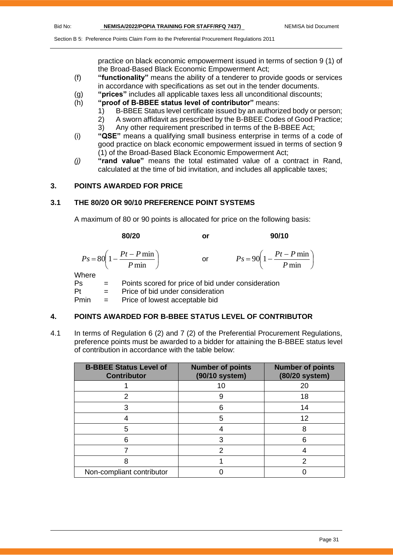practice on black economic empowerment issued in terms of section 9 (1) of the Broad-Based Black Economic Empowerment Act;

- (f) **"functionality"** means the ability of a tenderer to provide goods or services in accordance with specifications as set out in the tender documents.
- (g) **"prices"** includes all applicable taxes less all unconditional discounts;
- (h) **"proof of B-BBEE status level of contributor"** means:
	- 1) B-BBEE Status level certificate issued by an authorized body or person;
		- 2) A sworn affidavit as prescribed by the B-BBEE Codes of Good Practice;
	- 3) Any other requirement prescribed in terms of the B-BBEE Act;
- (i) **"QSE"** means a qualifying small business enterprise in terms of a code of good practice on black economic empowerment issued in terms of section 9 (1) of the Broad-Based Black Economic Empowerment Act;
- *(j)* **"rand value"** means the total estimated value of a contract in Rand, calculated at the time of bid invitation, and includes all applicable taxes;

# **3. POINTS AWARDED FOR PRICE**

# **3.1 THE 80/20 OR 90/10 PREFERENCE POINT SYSTEMS**

A maximum of 80 or 90 points is allocated for price on the following basis:

|       |              | 80/20                                                     | or                                                 | 90/10                                                     |
|-------|--------------|-----------------------------------------------------------|----------------------------------------------------|-----------------------------------------------------------|
|       |              | $P s = 80 \left( 1 - \frac{Pt - P \min P}{ \min} \right)$ | or                                                 | $P_s = 90 \left( 1 - \frac{Pt - P \min P}{ \min} \right)$ |
| Where |              |                                                           |                                                    |                                                           |
| Ps    | $\alpha = 1$ |                                                           | Points scored for price of bid under consideration |                                                           |

Pt = Price of bid under consideration Pmin = Price of lowest acceptable bid

# **4. POINTS AWARDED FOR B-BBEE STATUS LEVEL OF CONTRIBUTOR**

4.1 In terms of Regulation 6 (2) and 7 (2) of the Preferential Procurement Regulations, preference points must be awarded to a bidder for attaining the B-BBEE status level of contribution in accordance with the table below:

| <b>B-BBEE Status Level of</b><br><b>Contributor</b> | <b>Number of points</b><br>(90/10 system) | <b>Number of points</b><br>(80/20 system) |
|-----------------------------------------------------|-------------------------------------------|-------------------------------------------|
|                                                     | 10                                        | 20                                        |
|                                                     |                                           | 18                                        |
|                                                     | հ                                         | 14                                        |
|                                                     | 5                                         | 12                                        |
| 5                                                   |                                           | 8                                         |
|                                                     |                                           |                                           |
|                                                     | າ                                         |                                           |
|                                                     |                                           |                                           |
| Non-compliant contributor                           |                                           |                                           |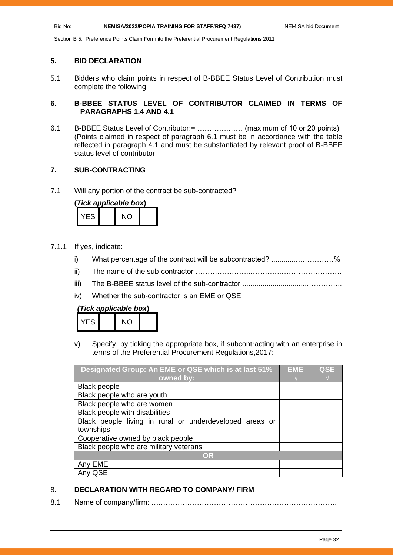### **5. BID DECLARATION**

5.1 Bidders who claim points in respect of B-BBEE Status Level of Contribution must complete the following:

# **6. B-BBEE STATUS LEVEL OF CONTRIBUTOR CLAIMED IN TERMS OF PARAGRAPHS 1.4 AND 4.1**

6.1 B-BBEE Status Level of Contributor:= ………….…… (maximum of 10 or 20 points) (Points claimed in respect of paragraph 6.1 must be in accordance with the table reflected in paragraph 4.1 and must be substantiated by relevant proof of B-BBEE status level of contributor.

# **7. SUB-CONTRACTING**

7.1 Will any portion of the contract be sub-contracted?

| (Tick applicable box) |  |     |  |
|-----------------------|--|-----|--|
| YFS.                  |  | NO. |  |

- 7.1.1 If yes, indicate:
	- i) What percentage of the contract will be subcontracted? ..........................%
	- ii) The name of the sub-contractor …………………..………….…………………….
	- iii) The B-BBEE status level of the sub-contractor .................................…………..
	- iv) Whether the sub-contractor is an EME or QSE

| (Tick applicable box) |  |  |
|-----------------------|--|--|
|-----------------------|--|--|

| $\overline{\mathsf{S}}$ | NC. |  |
|-------------------------|-----|--|
|                         |     |  |

v) Specify, by ticking the appropriate box, if subcontracting with an enterprise in terms of the Preferential Procurement Regulations,2017:

| Designated Group: An EME or QSE which is at last 51%    |  | <b>QSE</b> |
|---------------------------------------------------------|--|------------|
| owned by:                                               |  |            |
| <b>Black people</b>                                     |  |            |
| Black people who are youth                              |  |            |
| Black people who are women                              |  |            |
| Black people with disabilities                          |  |            |
| Black people living in rural or underdeveloped areas or |  |            |
| townships                                               |  |            |
| Cooperative owned by black people                       |  |            |
| Black people who are military veterans                  |  |            |
| OR                                                      |  |            |
| Any EME                                                 |  |            |
| QSE                                                     |  |            |

# 8. **DECLARATION WITH REGARD TO COMPANY/ FIRM**

8.1 Name of company/firm: ….……………………………………………………………….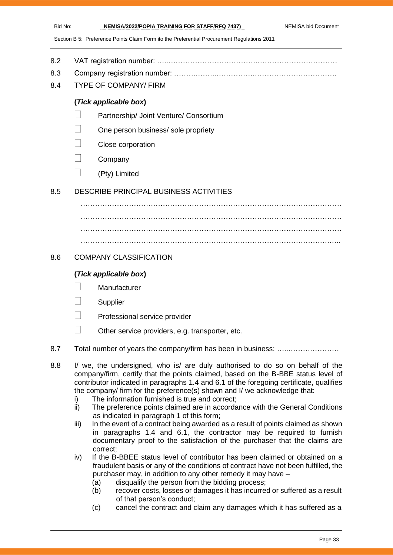- 8.2 VAT registration number: …..……………………………….……………………………
- 8.3 Company registration number: ……….……..…………….…………………………….
- 8.4 TYPE OF COMPANY/ FIRM

# **(***Tick applicable box***)**

- Partnership/ Joint Venture/ Consortium
- One person business/ sole propriety
- Close corporation
- **Company**
- $\Box$  (Pty) Limited

# 8.5 DESCRIBE PRINCIPAL BUSINESS ACTIVITIES

………………………………………………………………………………………………  $\mathcal{L}^{(n)}$ ……………………………………………………………………………………………… ………………………………………………………………………………………….…..

# 8.6 COMPANY CLASSIFICATION

# **(***Tick applicable box***)**

- **Manufacturer**
- **Supplier**
- Professional service provider
- $\Box$  Other service providers, e.g. transporter, etc.
- 8.7 Total number of years the company/firm has been in business: …………………………
- 8.8 I/ we, the undersigned, who is/ are duly authorised to do so on behalf of the company/firm, certify that the points claimed, based on the B-BBE status level of contributor indicated in paragraphs 1.4 and 6.1 of the foregoing certificate, qualifies the company/ firm for the preference(s) shown and I/ we acknowledge that:
	- i) The information furnished is true and correct;
	- ii) The preference points claimed are in accordance with the General Conditions as indicated in paragraph 1 of this form;
	- iii) In the event of a contract being awarded as a result of points claimed as shown in paragraphs 1.4 and 6.1, the contractor may be required to furnish documentary proof to the satisfaction of the purchaser that the claims are correct;
	- iv) If the B-BBEE status level of contributor has been claimed or obtained on a fraudulent basis or any of the conditions of contract have not been fulfilled, the purchaser may, in addition to any other remedy it may have –
		- (a) disqualify the person from the bidding process;
		- (b) recover costs, losses or damages it has incurred or suffered as a result of that person's conduct;
		- (c) cancel the contract and claim any damages which it has suffered as a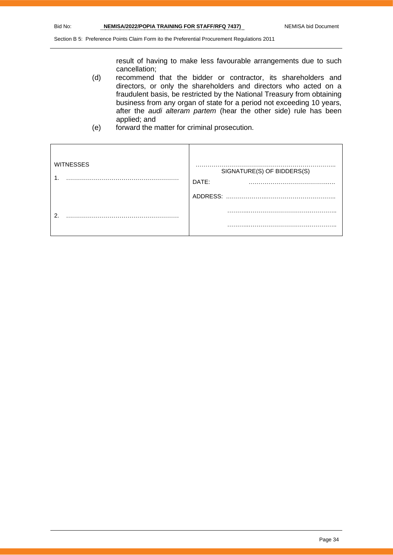result of having to make less favourable arrangements due to such cancellation;

- (d) recommend that the bidder or contractor, its shareholders and directors, or only the shareholders and directors who acted on a fraudulent basis, be restricted by the National Treasury from obtaining business from any organ of state for a period not exceeding 10 years, after the *audi alteram partem* (hear the other side) rule has been applied; and
- (e) forward the matter for criminal prosecution.

| <b>WITNESSES</b> | SIGNATURE(S) OF BIDDERS(S)<br>DATE:<br>$\cdots$ |
|------------------|-------------------------------------------------|
|                  | ADDRESS:                                        |
| റ                |                                                 |
|                  | .                                               |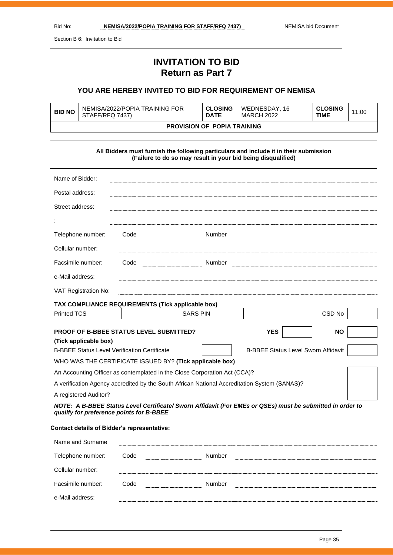Section B 6: Invitation to Bid

# **INVITATION TO BID Return as Part 7**

# **YOU ARE HEREBY INVITED TO BID FOR REQUIREMENT OF NEMISA**

| <b>BID NO</b>                      | NEMISA/2022/POPIA TRAINING FOR<br>STAFF/RFQ 7437) | <b>CLOSING</b><br><b>DATE</b> | WEDNESDAY, 16<br><b>MARCH 2022</b> | <b>CLOSING</b><br>TIME | 11:00 |
|------------------------------------|---------------------------------------------------|-------------------------------|------------------------------------|------------------------|-------|
| <b>PROVISION OF POPIA TRAINING</b> |                                                   |                               |                                    |                        |       |

| All Bidders must furnish the following particulars and include it in their submission<br>(Failure to do so may result in your bid being disqualified) |                                                                                                           |                                            |  |
|-------------------------------------------------------------------------------------------------------------------------------------------------------|-----------------------------------------------------------------------------------------------------------|--------------------------------------------|--|
| Name of Bidder:                                                                                                                                       |                                                                                                           |                                            |  |
| Postal address:                                                                                                                                       |                                                                                                           |                                            |  |
| Street address:                                                                                                                                       |                                                                                                           |                                            |  |
|                                                                                                                                                       |                                                                                                           |                                            |  |
| Telephone number:                                                                                                                                     | Code                                                                                                      |                                            |  |
| Cellular number:                                                                                                                                      |                                                                                                           |                                            |  |
| Facsimile number:                                                                                                                                     | Code                                                                                                      |                                            |  |
| e-Mail address:                                                                                                                                       |                                                                                                           |                                            |  |
| VAT Registration No:                                                                                                                                  |                                                                                                           |                                            |  |
|                                                                                                                                                       | TAX COMPLIANCE REQUIREMENTS (Tick applicable box)                                                         |                                            |  |
| Printed TCS                                                                                                                                           | <b>SARS PIN</b>                                                                                           | CSD <sub>No</sub>                          |  |
| (Tick applicable box)                                                                                                                                 | <b>PROOF OF B-BBEE STATUS LEVEL SUBMITTED?</b>                                                            | <b>YES</b><br><b>NO</b>                    |  |
| <b>B-BBEE Status Level Verification Certificate</b>                                                                                                   |                                                                                                           | <b>B-BBEE Status Level Sworn Affidavit</b> |  |
|                                                                                                                                                       | WHO WAS THE CERTIFICATE ISSUED BY? (Tick applicable box)                                                  |                                            |  |
| An Accounting Officer as contemplated in the Close Corporation Act (CCA)?                                                                             |                                                                                                           |                                            |  |
| A verification Agency accredited by the South African National Accreditation System (SANAS)?                                                          |                                                                                                           |                                            |  |
| A registered Auditor?                                                                                                                                 |                                                                                                           |                                            |  |
| qualify for preference points for B-BBEE<br>Contact details of Ridder's representative:                                                               | NOTE: A B-BBEE Status Level Certificate/ Sworn Affidavit (For EMEs or QSEs) must be submitted in order to |                                            |  |

### **Contact details of Bidder's representative:**

| Name and Surname  |      |        |  |
|-------------------|------|--------|--|
| Telephone number: | Code | Number |  |
| Cellular number:  |      |        |  |
| Facsimile number: | ahoΩ | Number |  |
| e-Mail address:   |      |        |  |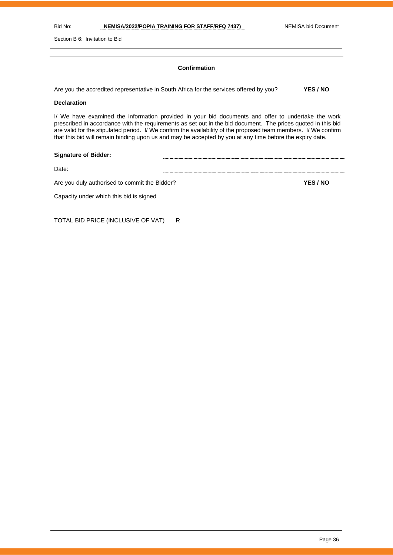Section B 6: Invitation to Bid

### **Confirmation**

Are you the accredited representative in South Africa for the services offered by you? **YES / NO**

### **Declaration**

I/ We have examined the information provided in your bid documents and offer to undertake the work prescribed in accordance with the requirements as set out in the bid document. The prices quoted in this bid are valid for the stipulated period. I/ We confirm the availability of the proposed team members. I/ We confirm that this bid will remain binding upon us and may be accepted by you at any time before the expiry date.

| <b>Signature of Bidder:</b>                   |   |          |
|-----------------------------------------------|---|----------|
| Date:                                         |   |          |
| Are you duly authorised to commit the Bidder? |   | YES / NO |
| Capacity under which this bid is signed       |   |          |
|                                               |   |          |
| TOTAL BID PRICE (INCLUSIVE OF VAT)            | R |          |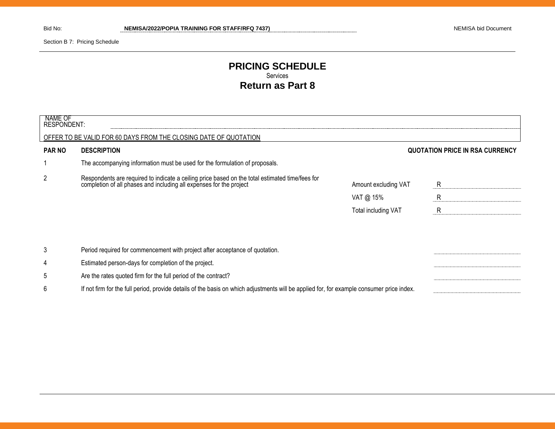Section B 7: Pricing Schedule

# **PRICING SCHEDULE** Services **Return as Part 8**

| NAME OF<br><b>RESPONDENT:</b> |                                                                                                                                                                     |                      |                                        |
|-------------------------------|---------------------------------------------------------------------------------------------------------------------------------------------------------------------|----------------------|----------------------------------------|
|                               | OFFER TO BE VALID FOR 60 DAYS FROM THE CLOSING DATE OF QUOTATION                                                                                                    |                      |                                        |
| <b>PAR NO</b>                 | <b>DESCRIPTION</b>                                                                                                                                                  |                      | <b>QUOTATION PRICE IN RSA CURRENCY</b> |
|                               | The accompanying information must be used for the formulation of proposals.                                                                                         |                      |                                        |
| 2                             | Respondents are required to indicate a ceiling price based on the total estimated time/fees for completion of all phases and including all expenses for the project | Amount excluding VAT | R                                      |
|                               |                                                                                                                                                                     | VAT @ $15\%$         | R                                      |
|                               |                                                                                                                                                                     | Total including VAT  | R                                      |
|                               |                                                                                                                                                                     |                      |                                        |
|                               |                                                                                                                                                                     |                      |                                        |
| 3                             | Period required for commencement with project after acceptance of quotation.                                                                                        |                      |                                        |
| 4                             | Estimated person-days for completion of the project.                                                                                                                |                      |                                        |
| 5                             | Are the rates quoted firm for the full period of the contract?                                                                                                      |                      |                                        |
| 6                             | If not firm for the full period, provide details of the basis on which adjustments will be applied for, for example consumer price index.                           |                      |                                        |